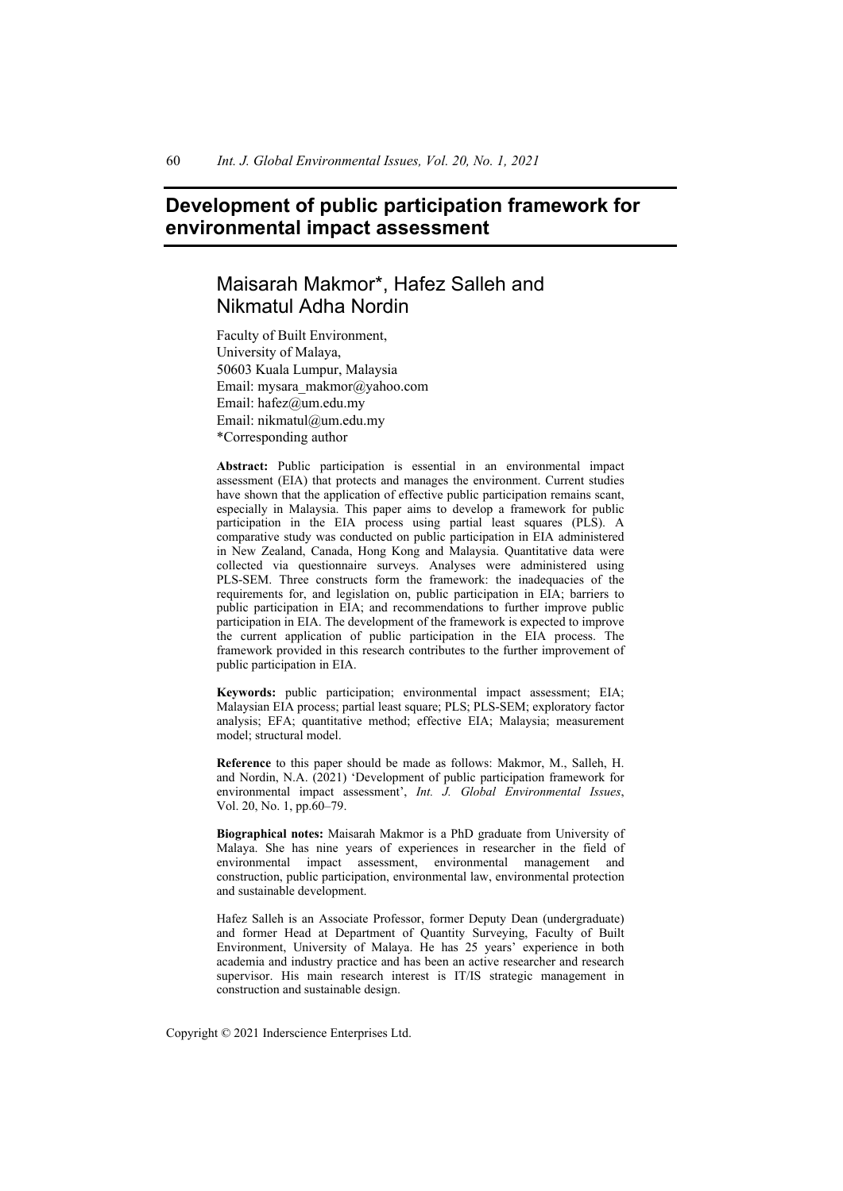# **Development of public participation framework for environmental impact assessment**

# Maisarah Makmor\*, Hafez Salleh and Nikmatul Adha Nordin

Faculty of Built Environment, University of Malaya, 50603 Kuala Lumpur, Malaysia Email: mysara\_makmor@yahoo.com Email: hafez@um.edu.my Email: nikmatul@um.edu.my \*Corresponding author

**Abstract:** Public participation is essential in an environmental impact assessment (EIA) that protects and manages the environment. Current studies have shown that the application of effective public participation remains scant, especially in Malaysia. This paper aims to develop a framework for public participation in the EIA process using partial least squares (PLS). A comparative study was conducted on public participation in EIA administered in New Zealand, Canada, Hong Kong and Malaysia. Quantitative data were collected via questionnaire surveys. Analyses were administered using PLS-SEM. Three constructs form the framework: the inadequacies of the requirements for, and legislation on, public participation in EIA; barriers to public participation in EIA; and recommendations to further improve public participation in EIA. The development of the framework is expected to improve the current application of public participation in the EIA process. The framework provided in this research contributes to the further improvement of public participation in EIA.

**Keywords:** public participation; environmental impact assessment; EIA; Malaysian EIA process; partial least square; PLS; PLS-SEM; exploratory factor analysis; EFA; quantitative method; effective EIA; Malaysia; measurement model; structural model.

**Reference** to this paper should be made as follows: Makmor, M., Salleh, H. and Nordin, N.A. (2021) 'Development of public participation framework for environmental impact assessment', *Int. J. Global Environmental Issues*, Vol. 20, No. 1, pp.60–79.

**Biographical notes:** Maisarah Makmor is a PhD graduate from University of Malaya. She has nine years of experiences in researcher in the field of environmental impact assessment, environmental management and construction, public participation, environmental law, environmental protection and sustainable development.

Hafez Salleh is an Associate Professor, former Deputy Dean (undergraduate) and former Head at Department of Quantity Surveying, Faculty of Built Environment, University of Malaya. He has 25 years' experience in both academia and industry practice and has been an active researcher and research supervisor. His main research interest is IT/IS strategic management in construction and sustainable design.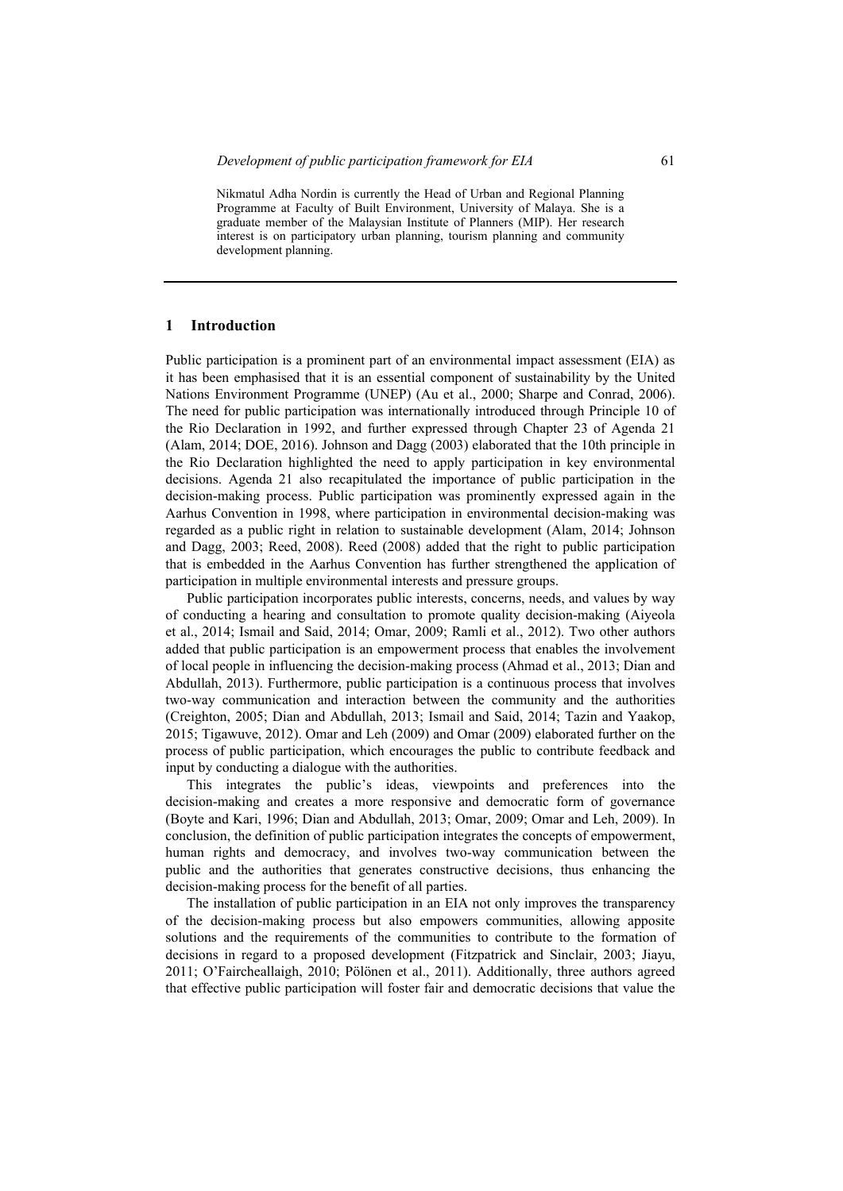#### **1 Introduction**

Public participation is a prominent part of an environmental impact assessment (EIA) as it has been emphasised that it is an essential component of sustainability by the United Nations Environment Programme (UNEP) (Au et al., 2000; Sharpe and Conrad, 2006). The need for public participation was internationally introduced through Principle 10 of the Rio Declaration in 1992, and further expressed through Chapter 23 of Agenda 21 (Alam, 2014; DOE, 2016). Johnson and Dagg (2003) elaborated that the 10th principle in the Rio Declaration highlighted the need to apply participation in key environmental decisions. Agenda 21 also recapitulated the importance of public participation in the decision-making process. Public participation was prominently expressed again in the Aarhus Convention in 1998, where participation in environmental decision-making was regarded as a public right in relation to sustainable development (Alam, 2014; Johnson and Dagg, 2003; Reed, 2008). Reed (2008) added that the right to public participation that is embedded in the Aarhus Convention has further strengthened the application of participation in multiple environmental interests and pressure groups.

Public participation incorporates public interests, concerns, needs, and values by way of conducting a hearing and consultation to promote quality decision-making (Aiyeola et al., 2014; Ismail and Said, 2014; Omar, 2009; Ramli et al., 2012). Two other authors added that public participation is an empowerment process that enables the involvement of local people in influencing the decision-making process (Ahmad et al., 2013; Dian and Abdullah, 2013). Furthermore, public participation is a continuous process that involves two-way communication and interaction between the community and the authorities (Creighton, 2005; Dian and Abdullah, 2013; Ismail and Said, 2014; Tazin and Yaakop, 2015; Tigawuve, 2012). Omar and Leh (2009) and Omar (2009) elaborated further on the process of public participation, which encourages the public to contribute feedback and input by conducting a dialogue with the authorities.

This integrates the public's ideas, viewpoints and preferences into the decision-making and creates a more responsive and democratic form of governance (Boyte and Kari, 1996; Dian and Abdullah, 2013; Omar, 2009; Omar and Leh, 2009). In conclusion, the definition of public participation integrates the concepts of empowerment, human rights and democracy, and involves two-way communication between the public and the authorities that generates constructive decisions, thus enhancing the decision-making process for the benefit of all parties.

The installation of public participation in an EIA not only improves the transparency of the decision-making process but also empowers communities, allowing apposite solutions and the requirements of the communities to contribute to the formation of decisions in regard to a proposed development (Fitzpatrick and Sinclair, 2003; Jiayu, 2011; O'Faircheallaigh, 2010; Pölönen et al., 2011). Additionally, three authors agreed that effective public participation will foster fair and democratic decisions that value the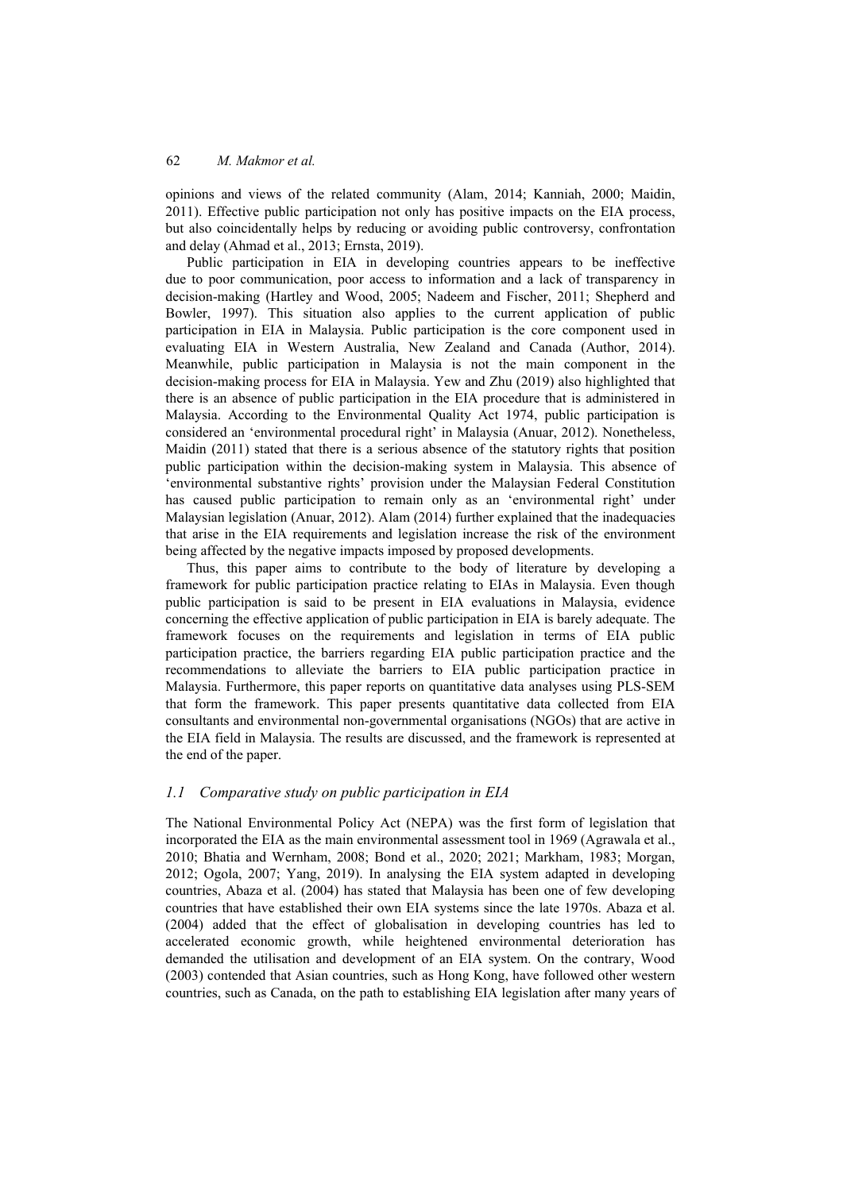opinions and views of the related community (Alam, 2014; Kanniah, 2000; Maidin, 2011). Effective public participation not only has positive impacts on the EIA process, but also coincidentally helps by reducing or avoiding public controversy, confrontation and delay (Ahmad et al., 2013; Ernsta, 2019).

Public participation in EIA in developing countries appears to be ineffective due to poor communication, poor access to information and a lack of transparency in decision-making (Hartley and Wood, 2005; Nadeem and Fischer, 2011; Shepherd and Bowler, 1997). This situation also applies to the current application of public participation in EIA in Malaysia. Public participation is the core component used in evaluating EIA in Western Australia, New Zealand and Canada (Author, 2014). Meanwhile, public participation in Malaysia is not the main component in the decision-making process for EIA in Malaysia. Yew and Zhu (2019) also highlighted that there is an absence of public participation in the EIA procedure that is administered in Malaysia. According to the Environmental Quality Act 1974, public participation is considered an 'environmental procedural right' in Malaysia (Anuar, 2012). Nonetheless, Maidin (2011) stated that there is a serious absence of the statutory rights that position public participation within the decision-making system in Malaysia. This absence of 'environmental substantive rights' provision under the Malaysian Federal Constitution has caused public participation to remain only as an 'environmental right' under Malaysian legislation (Anuar, 2012). Alam (2014) further explained that the inadequacies that arise in the EIA requirements and legislation increase the risk of the environment being affected by the negative impacts imposed by proposed developments.

Thus, this paper aims to contribute to the body of literature by developing a framework for public participation practice relating to EIAs in Malaysia. Even though public participation is said to be present in EIA evaluations in Malaysia, evidence concerning the effective application of public participation in EIA is barely adequate. The framework focuses on the requirements and legislation in terms of EIA public participation practice, the barriers regarding EIA public participation practice and the recommendations to alleviate the barriers to EIA public participation practice in Malaysia. Furthermore, this paper reports on quantitative data analyses using PLS-SEM that form the framework. This paper presents quantitative data collected from EIA consultants and environmental non-governmental organisations (NGOs) that are active in the EIA field in Malaysia. The results are discussed, and the framework is represented at the end of the paper.

## *1.1 Comparative study on public participation in EIA*

The National Environmental Policy Act (NEPA) was the first form of legislation that incorporated the EIA as the main environmental assessment tool in 1969 (Agrawala et al., 2010; Bhatia and Wernham, 2008; Bond et al., 2020; 2021; Markham, 1983; Morgan, 2012; Ogola, 2007; Yang, 2019). In analysing the EIA system adapted in developing countries, Abaza et al. (2004) has stated that Malaysia has been one of few developing countries that have established their own EIA systems since the late 1970s. Abaza et al. (2004) added that the effect of globalisation in developing countries has led to accelerated economic growth, while heightened environmental deterioration has demanded the utilisation and development of an EIA system. On the contrary, Wood (2003) contended that Asian countries, such as Hong Kong, have followed other western countries, such as Canada, on the path to establishing EIA legislation after many years of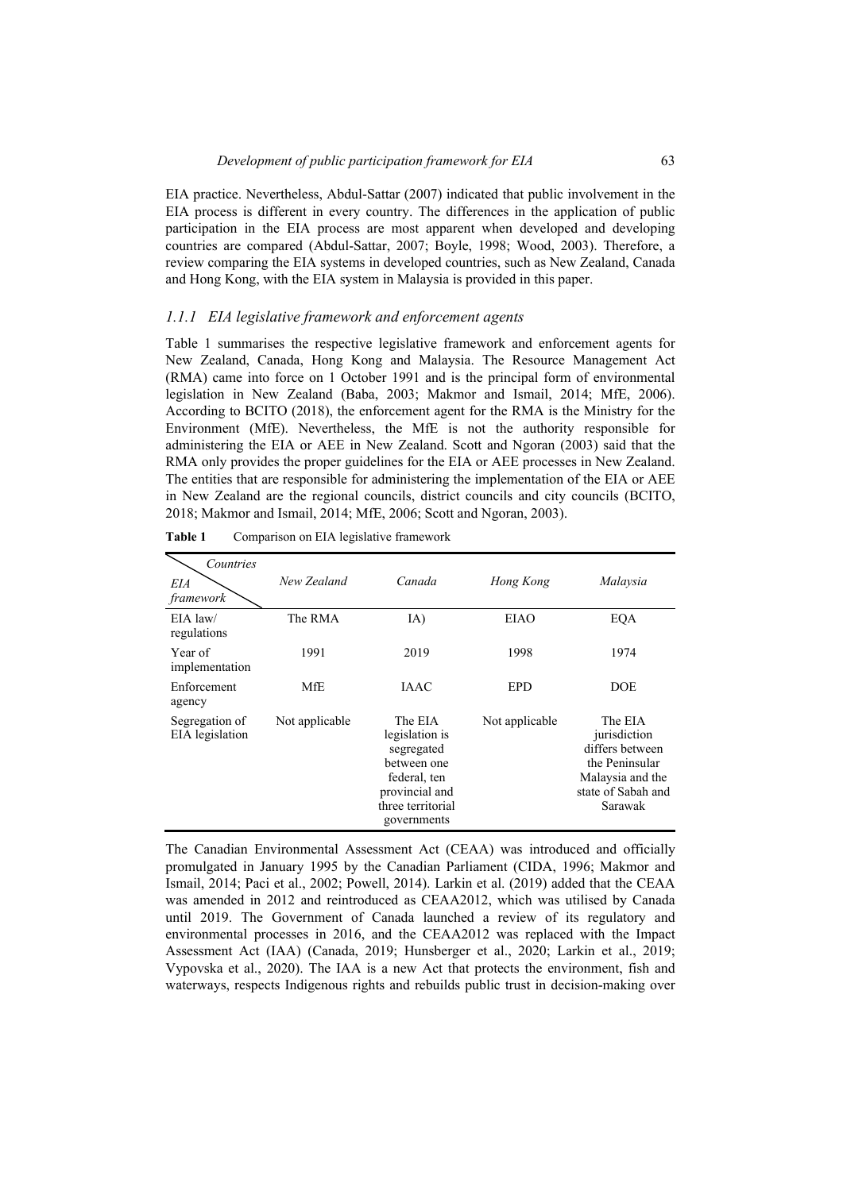EIA practice. Nevertheless, Abdul-Sattar (2007) indicated that public involvement in the EIA process is different in every country. The differences in the application of public participation in the EIA process are most apparent when developed and developing countries are compared (Abdul-Sattar, 2007; Boyle, 1998; Wood, 2003). Therefore, a review comparing the EIA systems in developed countries, such as New Zealand, Canada and Hong Kong, with the EIA system in Malaysia is provided in this paper.

### *1.1.1 EIA legislative framework and enforcement agents*

Table 1 summarises the respective legislative framework and enforcement agents for New Zealand, Canada, Hong Kong and Malaysia. The Resource Management Act (RMA) came into force on 1 October 1991 and is the principal form of environmental legislation in New Zealand (Baba, 2003; Makmor and Ismail, 2014; MfE, 2006). According to BCITO (2018), the enforcement agent for the RMA is the Ministry for the Environment (MfE). Nevertheless, the MfE is not the authority responsible for administering the EIA or AEE in New Zealand. Scott and Ngoran (2003) said that the RMA only provides the proper guidelines for the EIA or AEE processes in New Zealand. The entities that are responsible for administering the implementation of the EIA or AEE in New Zealand are the regional councils, district councils and city councils (BCITO, 2018; Makmor and Ismail, 2014; MfE, 2006; Scott and Ngoran, 2003).

| Countries<br>EIA<br>framework     | New Zealand    | Canada                                                                                                                       | Hong Kong      | Malaysia                                                                                                          |
|-----------------------------------|----------------|------------------------------------------------------------------------------------------------------------------------------|----------------|-------------------------------------------------------------------------------------------------------------------|
| $EIA$ law/<br>regulations         | The RMA        | IA)                                                                                                                          | EIAO           | EQA                                                                                                               |
| Year of<br>implementation         | 1991           | 2019                                                                                                                         | 1998           | 1974                                                                                                              |
| Enforcement<br>agency             | MfE            | <b>JAAC</b>                                                                                                                  | <b>EPD</b>     | <b>DOE</b>                                                                                                        |
| Segregation of<br>EIA legislation | Not applicable | The EIA<br>legislation is<br>segregated<br>between one<br>federal, ten<br>provincial and<br>three territorial<br>governments | Not applicable | The EIA<br>jurisdiction<br>differs between<br>the Peninsular<br>Malaysia and the<br>state of Sabah and<br>Sarawak |

| Table 1 | Comparison on EIA legislative framework |  |  |  |
|---------|-----------------------------------------|--|--|--|
|---------|-----------------------------------------|--|--|--|

The Canadian Environmental Assessment Act (CEAA) was introduced and officially promulgated in January 1995 by the Canadian Parliament (CIDA, 1996; Makmor and Ismail, 2014; Paci et al., 2002; Powell, 2014). Larkin et al. (2019) added that the CEAA was amended in 2012 and reintroduced as CEAA2012, which was utilised by Canada until 2019. The Government of Canada launched a review of its regulatory and environmental processes in 2016, and the CEAA2012 was replaced with the Impact Assessment Act (IAA) (Canada, 2019; Hunsberger et al., 2020; Larkin et al., 2019; Vypovska et al., 2020). The IAA is a new Act that protects the environment, fish and waterways, respects Indigenous rights and rebuilds public trust in decision-making over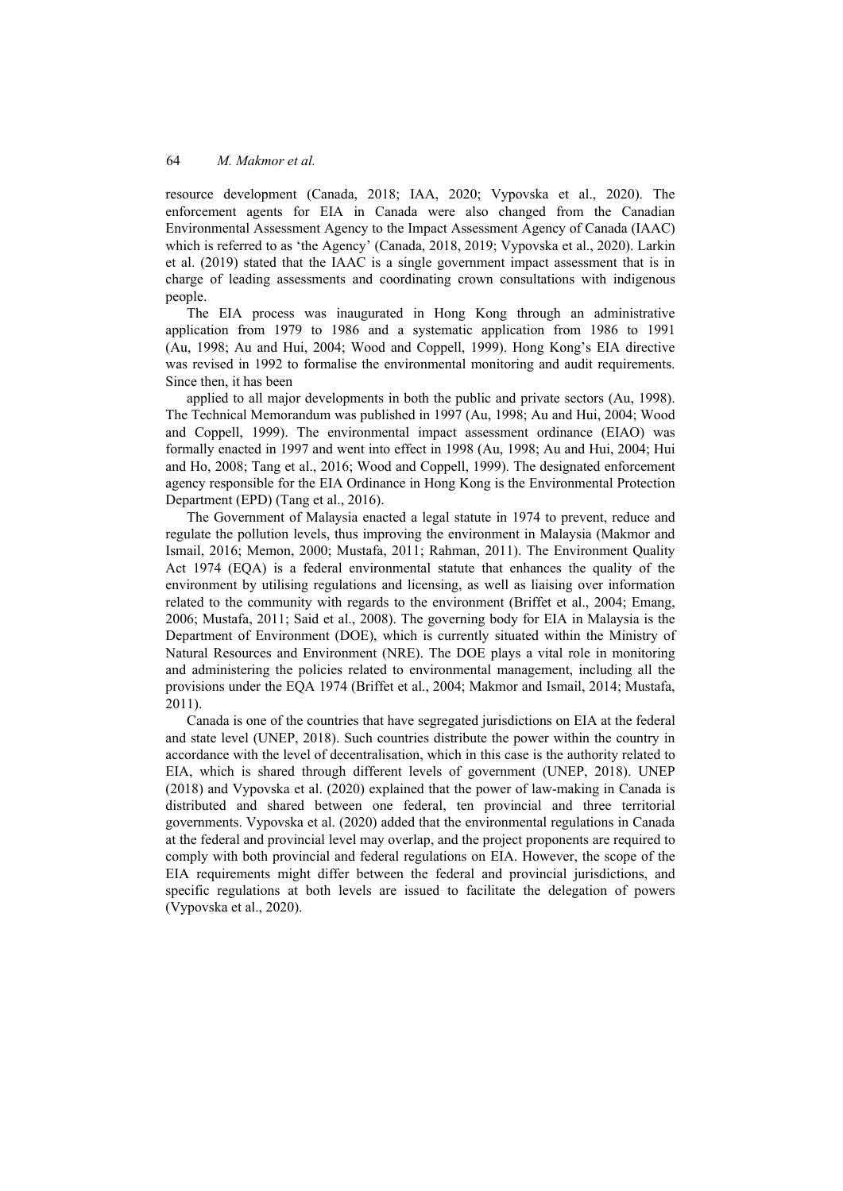resource development (Canada, 2018; IAA, 2020; Vypovska et al., 2020). The enforcement agents for EIA in Canada were also changed from the Canadian Environmental Assessment Agency to the Impact Assessment Agency of Canada (IAAC) which is referred to as 'the Agency' (Canada, 2018, 2019; Vypovska et al., 2020). Larkin et al. (2019) stated that the IAAC is a single government impact assessment that is in charge of leading assessments and coordinating crown consultations with indigenous people.

The EIA process was inaugurated in Hong Kong through an administrative application from 1979 to 1986 and a systematic application from 1986 to 1991 (Au, 1998; Au and Hui, 2004; Wood and Coppell, 1999). Hong Kong's EIA directive was revised in 1992 to formalise the environmental monitoring and audit requirements. Since then, it has been

applied to all major developments in both the public and private sectors (Au, 1998). The Technical Memorandum was published in 1997 (Au, 1998; Au and Hui, 2004; Wood and Coppell, 1999). The environmental impact assessment ordinance (EIAO) was formally enacted in 1997 and went into effect in 1998 (Au, 1998; Au and Hui, 2004; Hui and Ho, 2008; Tang et al., 2016; Wood and Coppell, 1999). The designated enforcement agency responsible for the EIA Ordinance in Hong Kong is the Environmental Protection Department (EPD) (Tang et al., 2016).

The Government of Malaysia enacted a legal statute in 1974 to prevent, reduce and regulate the pollution levels, thus improving the environment in Malaysia (Makmor and Ismail, 2016; Memon, 2000; Mustafa, 2011; Rahman, 2011). The Environment Quality Act 1974 (EQA) is a federal environmental statute that enhances the quality of the environment by utilising regulations and licensing, as well as liaising over information related to the community with regards to the environment (Briffet et al., 2004; Emang, 2006; Mustafa, 2011; Said et al., 2008). The governing body for EIA in Malaysia is the Department of Environment (DOE), which is currently situated within the Ministry of Natural Resources and Environment (NRE). The DOE plays a vital role in monitoring and administering the policies related to environmental management, including all the provisions under the EQA 1974 (Briffet et al., 2004; Makmor and Ismail, 2014; Mustafa, 2011).

Canada is one of the countries that have segregated jurisdictions on EIA at the federal and state level (UNEP, 2018). Such countries distribute the power within the country in accordance with the level of decentralisation, which in this case is the authority related to EIA, which is shared through different levels of government (UNEP, 2018). UNEP (2018) and Vypovska et al. (2020) explained that the power of law-making in Canada is distributed and shared between one federal, ten provincial and three territorial governments. Vypovska et al. (2020) added that the environmental regulations in Canada at the federal and provincial level may overlap, and the project proponents are required to comply with both provincial and federal regulations on EIA. However, the scope of the EIA requirements might differ between the federal and provincial jurisdictions, and specific regulations at both levels are issued to facilitate the delegation of powers (Vypovska et al., 2020).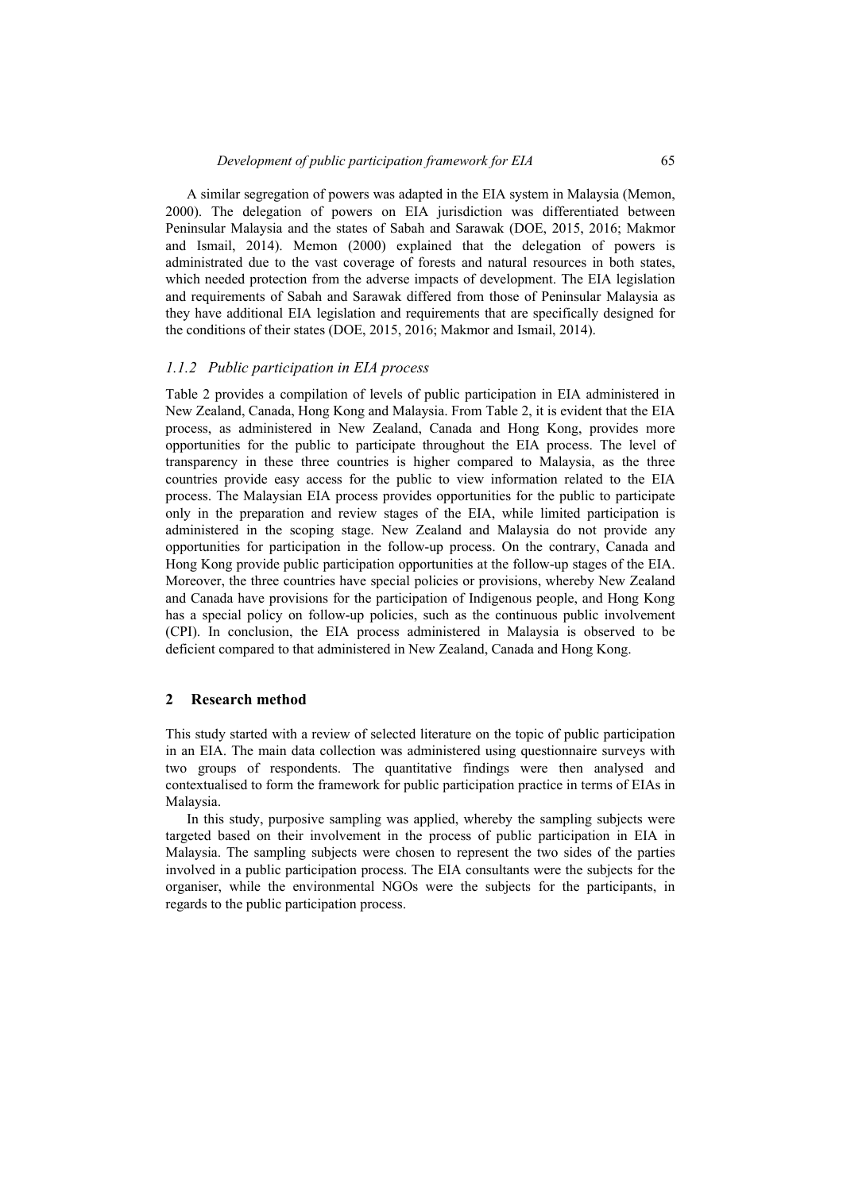A similar segregation of powers was adapted in the EIA system in Malaysia (Memon, 2000). The delegation of powers on EIA jurisdiction was differentiated between Peninsular Malaysia and the states of Sabah and Sarawak (DOE, 2015, 2016; Makmor and Ismail, 2014). Memon (2000) explained that the delegation of powers is administrated due to the vast coverage of forests and natural resources in both states, which needed protection from the adverse impacts of development. The EIA legislation and requirements of Sabah and Sarawak differed from those of Peninsular Malaysia as they have additional EIA legislation and requirements that are specifically designed for the conditions of their states (DOE, 2015, 2016; Makmor and Ismail, 2014).

#### *1.1.2 Public participation in EIA process*

Table 2 provides a compilation of levels of public participation in EIA administered in New Zealand, Canada, Hong Kong and Malaysia. From Table 2, it is evident that the EIA process, as administered in New Zealand, Canada and Hong Kong, provides more opportunities for the public to participate throughout the EIA process. The level of transparency in these three countries is higher compared to Malaysia, as the three countries provide easy access for the public to view information related to the EIA process. The Malaysian EIA process provides opportunities for the public to participate only in the preparation and review stages of the EIA, while limited participation is administered in the scoping stage. New Zealand and Malaysia do not provide any opportunities for participation in the follow-up process. On the contrary, Canada and Hong Kong provide public participation opportunities at the follow-up stages of the EIA. Moreover, the three countries have special policies or provisions, whereby New Zealand and Canada have provisions for the participation of Indigenous people, and Hong Kong has a special policy on follow-up policies, such as the continuous public involvement (CPI). In conclusion, the EIA process administered in Malaysia is observed to be deficient compared to that administered in New Zealand, Canada and Hong Kong.

#### **2 Research method**

This study started with a review of selected literature on the topic of public participation in an EIA. The main data collection was administered using questionnaire surveys with two groups of respondents. The quantitative findings were then analysed and contextualised to form the framework for public participation practice in terms of EIAs in Malaysia.

In this study, purposive sampling was applied, whereby the sampling subjects were targeted based on their involvement in the process of public participation in EIA in Malaysia. The sampling subjects were chosen to represent the two sides of the parties involved in a public participation process. The EIA consultants were the subjects for the organiser, while the environmental NGOs were the subjects for the participants, in regards to the public participation process.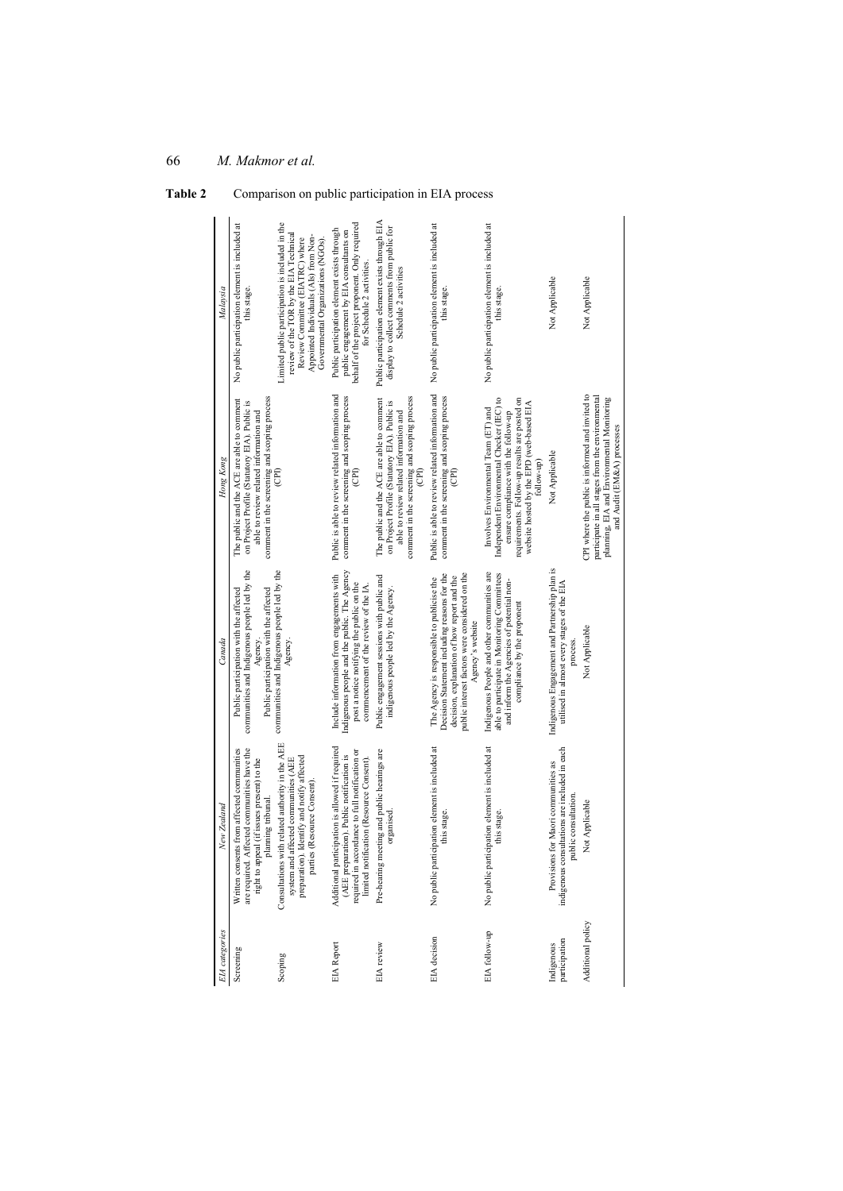| EIA categories              | Vew Zealand                                                                                                                                                                                | Canada                                                                                                                                                                                                          | Hong Kong                                                                                                                                                                                                                             | Malaysia                                                                                                                                                                                                    |
|-----------------------------|--------------------------------------------------------------------------------------------------------------------------------------------------------------------------------------------|-----------------------------------------------------------------------------------------------------------------------------------------------------------------------------------------------------------------|---------------------------------------------------------------------------------------------------------------------------------------------------------------------------------------------------------------------------------------|-------------------------------------------------------------------------------------------------------------------------------------------------------------------------------------------------------------|
| Screening                   | are required. Affected communities have the<br>Written consents from affected communities<br>right to appeal (if issues present) to the<br>planning tribunal.                              | communities and Indigenous people led by the<br>Public participation with the affected<br>Public participation with the affected<br>Agency                                                                      | comment in the screening and scoping process<br>The public and the ACE are able to comment<br>on Project Profile (Statutory EIA). Public is<br>able to review related information and                                                 | No public participation element is included at<br>this stage.                                                                                                                                               |
| Scoping                     | Consultations with related authority in the AEE<br>preparation). Identify and notify affected<br>system and affected communities (AEE<br>parties (Resource Consent)                        | communities and Indigenous people led by the<br>Agency.                                                                                                                                                         |                                                                                                                                                                                                                                       | Limited public participation is included in the<br>review of the TOR by the EIA Technical<br>Appointed Individuals (AIs) from Non-<br>Review Committee (EIATRC) where<br>Governmental Organizations (NGOs). |
| <b>EIA</b> Report           | Additional participation is allowed if required<br>required in accordance to full notification or<br>(AEE preparation). Public notification is<br>limited notification (Resource Consent). | Indigenous people and the public. The Agency<br>Include information from engagements with<br>post a notice notifying the public on the<br>commencement of the review of the IA.                                 | Public is able to review related information and<br>comment in the screening and scoping process<br>$\widehat{E}$                                                                                                                     | public engagement by EIA consultants on<br>behalf of the project proponent. Only required<br>Public participation element exists through<br>for Schedule 2 activities.                                      |
| EIA review                  | Pre-hearing meeting and public hearings are<br>organised                                                                                                                                   | Public engagement sessions with public and<br>indigenous people led by the Agency.                                                                                                                              | comment in the screening and scoping process<br>The public and the ACE are able to comment<br>on Project Profile (Statutory EIA). Public is<br>able to review related information and                                                 | Public participation element exists through EIA<br>display to collect comments from public for<br>Schedule 2 activities                                                                                     |
| EIA decision                | No public participation element is included at<br>this stage.                                                                                                                              | public interest factors were considered on the<br>Decision Statement including reasons for the<br>decision, explanation of how report and the<br>The Agency is responsible to publicise the<br>Agency's website | Public is able to review related information and<br>comment in the screening and scoping process                                                                                                                                      | No public participation element is included at<br>this stage.                                                                                                                                               |
| EIA follow-up               | No public participation element is included at<br>this stage.                                                                                                                              | Indigenous People and other communities are<br>able to participate in Monitoring Committees<br>and inform the Agencies of potential non-<br>compliance by the proponent                                         | Independent Environmental Checker (IEC) to<br>requirements. Follow-up results are posted on<br>website hosted by the EPD (web-based EIA<br>Involves Environmental Team (ET) and<br>ensure compliance with the follow-up<br>follow-up) | No public participation element is included at<br>this stage.                                                                                                                                               |
| participation<br>Indigenous | indigenous consultations are included in each<br>Provisions for Maori communities as<br>public consultation.                                                                               | Indigenous Engagement and Partnership plan is<br>utilised in almost every stages of the EIA<br>process                                                                                                          | Not Applicable                                                                                                                                                                                                                        | Not Applicable                                                                                                                                                                                              |
| Additional policy           | Not Applicable                                                                                                                                                                             | Not Applicable                                                                                                                                                                                                  | CPI where the public is informed and invited to<br>participate in all stages from the environmental<br>planning, EIA and Environmental Monitoring<br>and Audit (EM&A) processes                                                       | Not Applicable                                                                                                                                                                                              |

Table 2 Comparison on public participation in EIA process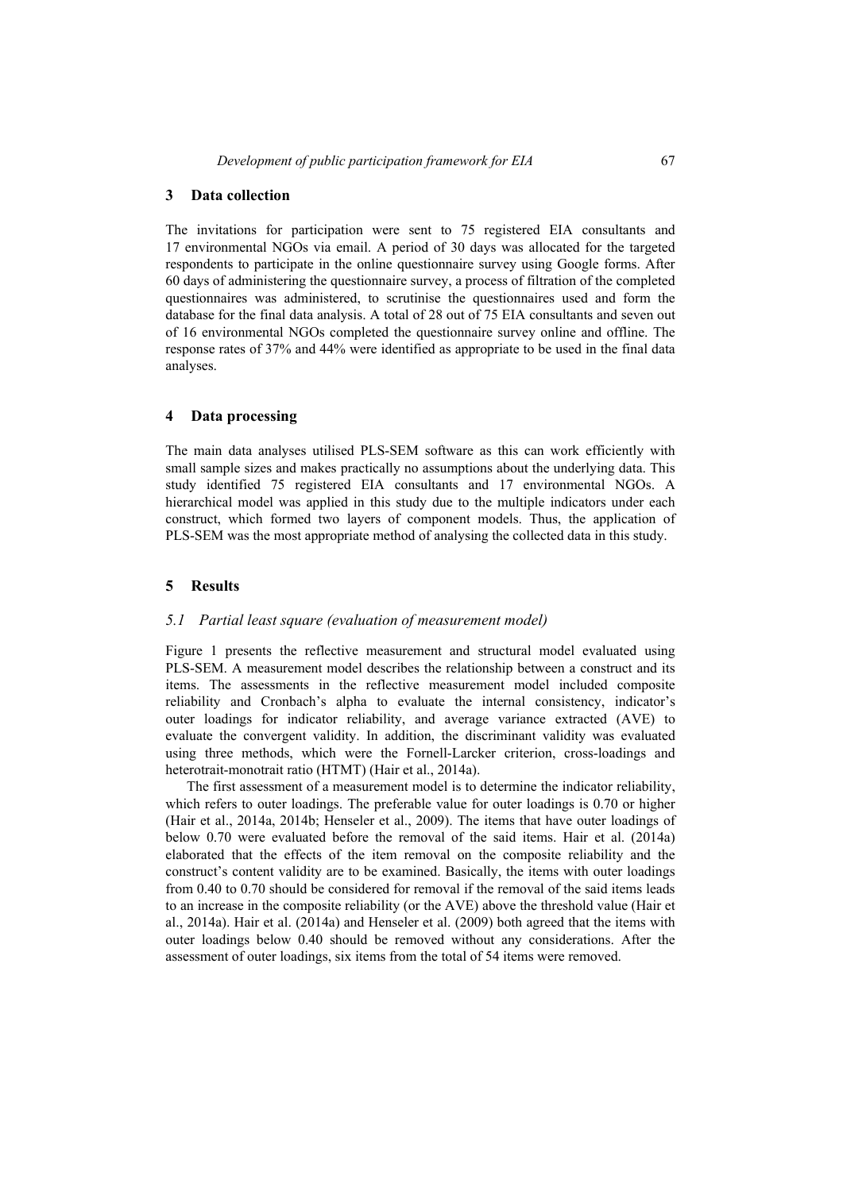The invitations for participation were sent to 75 registered EIA consultants and 17 environmental NGOs via email. A period of 30 days was allocated for the targeted respondents to participate in the online questionnaire survey using Google forms. After 60 days of administering the questionnaire survey, a process of filtration of the completed questionnaires was administered, to scrutinise the questionnaires used and form the database for the final data analysis. A total of 28 out of 75 EIA consultants and seven out of 16 environmental NGOs completed the questionnaire survey online and offline. The response rates of 37% and 44% were identified as appropriate to be used in the final data analyses.

#### **4 Data processing**

The main data analyses utilised PLS-SEM software as this can work efficiently with small sample sizes and makes practically no assumptions about the underlying data. This study identified 75 registered EIA consultants and 17 environmental NGOs. A hierarchical model was applied in this study due to the multiple indicators under each construct, which formed two layers of component models. Thus, the application of PLS-SEM was the most appropriate method of analysing the collected data in this study.

#### **5 Results**

#### *5.1 Partial least square (evaluation of measurement model)*

Figure 1 presents the reflective measurement and structural model evaluated using PLS-SEM. A measurement model describes the relationship between a construct and its items. The assessments in the reflective measurement model included composite reliability and Cronbach's alpha to evaluate the internal consistency, indicator's outer loadings for indicator reliability, and average variance extracted (AVE) to evaluate the convergent validity. In addition, the discriminant validity was evaluated using three methods, which were the Fornell-Larcker criterion, cross-loadings and heterotrait-monotrait ratio (HTMT) (Hair et al., 2014a).

The first assessment of a measurement model is to determine the indicator reliability, which refers to outer loadings. The preferable value for outer loadings is 0.70 or higher (Hair et al., 2014a, 2014b; Henseler et al., 2009). The items that have outer loadings of below 0.70 were evaluated before the removal of the said items. Hair et al. (2014a) elaborated that the effects of the item removal on the composite reliability and the construct's content validity are to be examined. Basically, the items with outer loadings from 0.40 to 0.70 should be considered for removal if the removal of the said items leads to an increase in the composite reliability (or the AVE) above the threshold value (Hair et al., 2014a). Hair et al. (2014a) and Henseler et al. (2009) both agreed that the items with outer loadings below 0.40 should be removed without any considerations. After the assessment of outer loadings, six items from the total of 54 items were removed.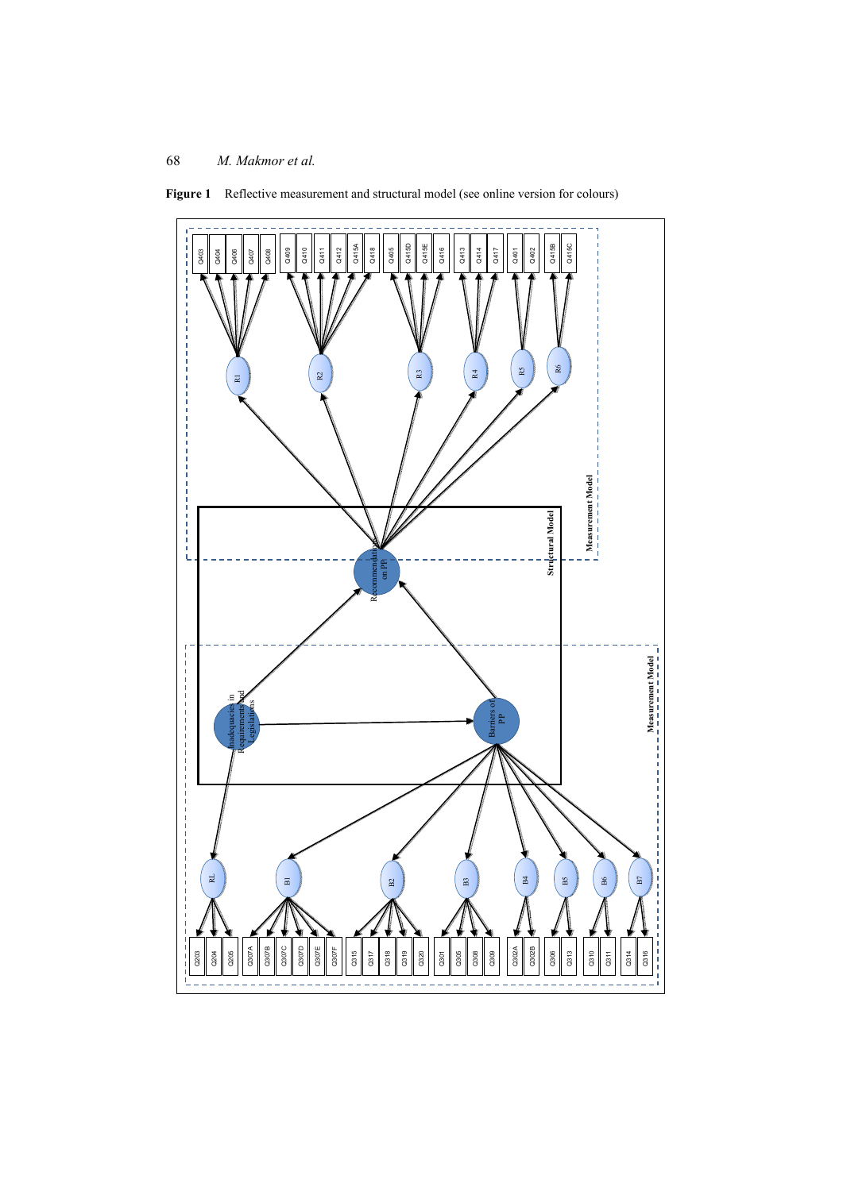

Figure 1 Reflective measurement and structural model (see online version for colours)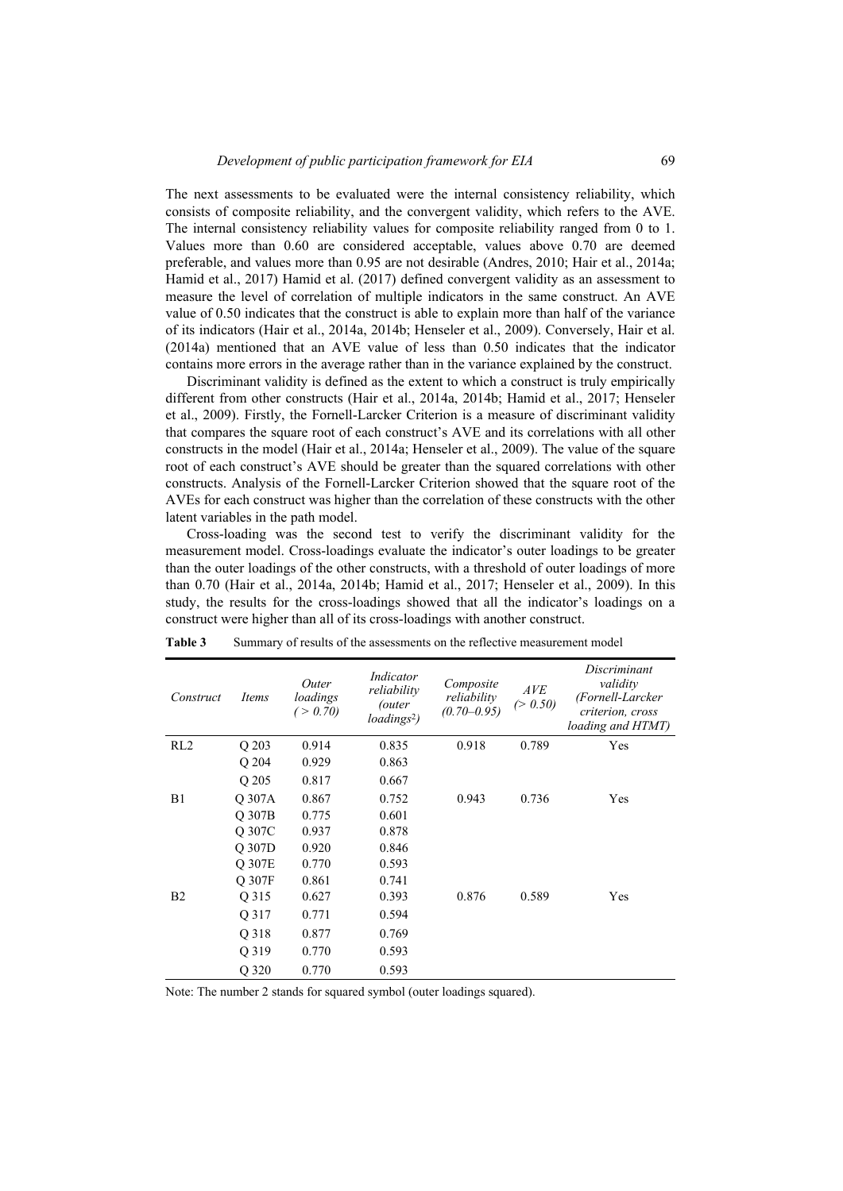The next assessments to be evaluated were the internal consistency reliability, which consists of composite reliability, and the convergent validity, which refers to the AVE. The internal consistency reliability values for composite reliability ranged from 0 to 1. Values more than 0.60 are considered acceptable, values above 0.70 are deemed preferable, and values more than 0.95 are not desirable (Andres, 2010; Hair et al., 2014a; Hamid et al., 2017) Hamid et al. (2017) defined convergent validity as an assessment to measure the level of correlation of multiple indicators in the same construct. An AVE value of 0.50 indicates that the construct is able to explain more than half of the variance of its indicators (Hair et al., 2014a, 2014b; Henseler et al., 2009). Conversely, Hair et al. (2014a) mentioned that an AVE value of less than 0.50 indicates that the indicator contains more errors in the average rather than in the variance explained by the construct.

Discriminant validity is defined as the extent to which a construct is truly empirically different from other constructs (Hair et al., 2014a, 2014b; Hamid et al., 2017; Henseler et al., 2009). Firstly, the Fornell-Larcker Criterion is a measure of discriminant validity that compares the square root of each construct's AVE and its correlations with all other constructs in the model (Hair et al., 2014a; Henseler et al., 2009). The value of the square root of each construct's AVE should be greater than the squared correlations with other constructs. Analysis of the Fornell-Larcker Criterion showed that the square root of the AVEs for each construct was higher than the correlation of these constructs with the other latent variables in the path model.

Cross-loading was the second test to verify the discriminant validity for the measurement model. Cross-loadings evaluate the indicator's outer loadings to be greater than the outer loadings of the other constructs, with a threshold of outer loadings of more than 0.70 (Hair et al., 2014a, 2014b; Hamid et al., 2017; Henseler et al., 2009). In this study, the results for the cross-loadings showed that all the indicator's loadings on a construct were higher than all of its cross-loadings with another construct.

| Construct       | Items  | Outer<br>loadings<br>(> 0.70) | Indicator<br>reliability<br>outer)<br>loadings <sup>2</sup> ) | Composite<br>reliability<br>$(0.70 - 0.95)$ | AVE<br>(> 0.50) | Discriminant<br>validity<br>(Fornell-Larcker<br>criterion, cross<br><i>loading and HTMT</i> ) |
|-----------------|--------|-------------------------------|---------------------------------------------------------------|---------------------------------------------|-----------------|-----------------------------------------------------------------------------------------------|
| RL <sub>2</sub> | Q 203  | 0.914                         | 0.835                                                         | 0.918                                       | 0.789           | Yes                                                                                           |
|                 | Q 204  | 0.929                         | 0.863                                                         |                                             |                 |                                                                                               |
|                 | Q 205  | 0.817                         | 0.667                                                         |                                             |                 |                                                                                               |
| B1              | Q 307A | 0.867                         | 0.752                                                         | 0.943                                       | 0.736           | Yes                                                                                           |
|                 | O 307B | 0.775                         | 0.601                                                         |                                             |                 |                                                                                               |
|                 | O 307C | 0.937                         | 0.878                                                         |                                             |                 |                                                                                               |
|                 | Q 307D | 0.920                         | 0.846                                                         |                                             |                 |                                                                                               |
|                 | O 307E | 0.770                         | 0.593                                                         |                                             |                 |                                                                                               |
|                 | O 307F | 0.861                         | 0.741                                                         |                                             |                 |                                                                                               |
| B <sub>2</sub>  | Q 315  | 0.627                         | 0.393                                                         | 0.876                                       | 0.589           | Yes                                                                                           |
|                 | Q 317  | 0.771                         | 0.594                                                         |                                             |                 |                                                                                               |
|                 | O 318  | 0.877                         | 0.769                                                         |                                             |                 |                                                                                               |
|                 | O 319  | 0.770                         | 0.593                                                         |                                             |                 |                                                                                               |
|                 | Q 320  | 0.770                         | 0.593                                                         |                                             |                 |                                                                                               |

**Table 3** Summary of results of the assessments on the reflective measurement model

Note: The number 2 stands for squared symbol (outer loadings squared).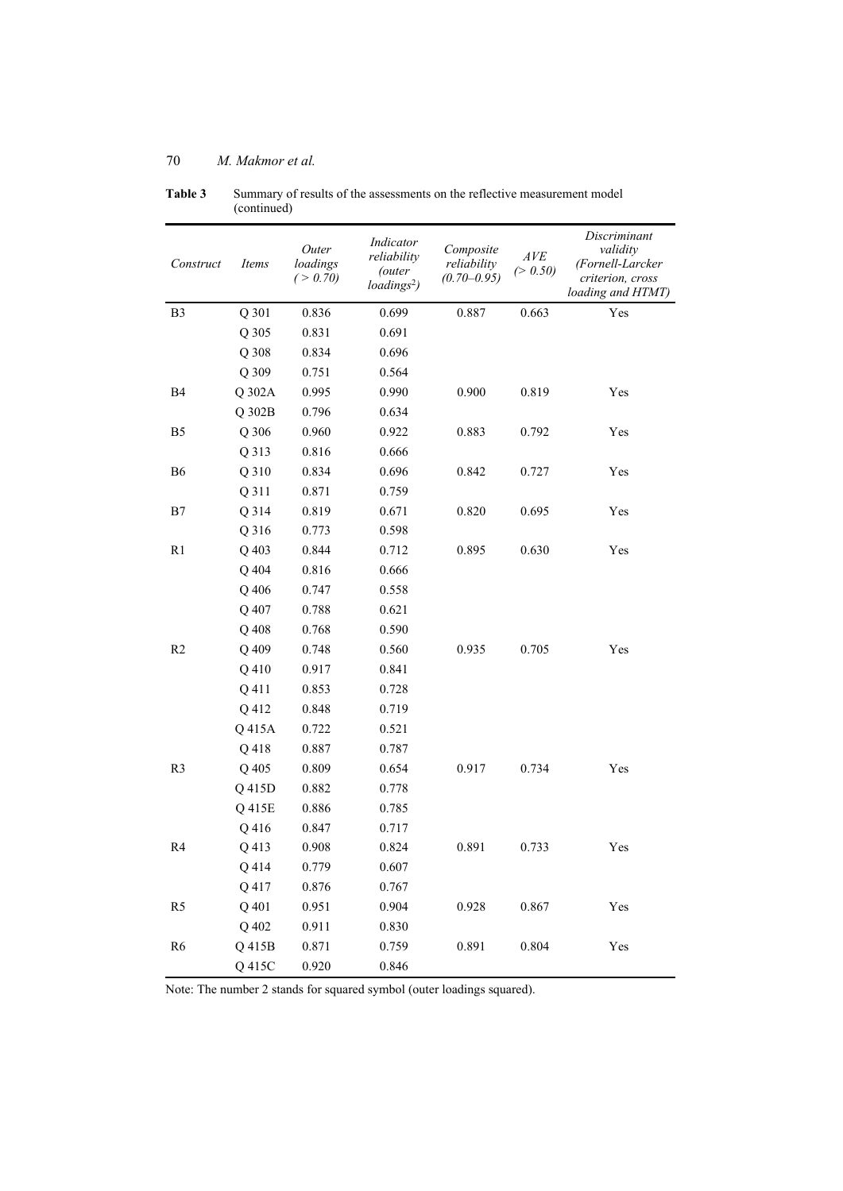| Construct      | Items  | Outer<br>loadings<br>( > 0.70) | Indicator<br>reliability<br><i>(outer</i><br>loadings <sup>2</sup> ) | Composite<br>reliability<br>$(0.70 - 0.95)$ | AVE<br>(> 0.50) | Discriminant<br>validity<br>(Fornell-Larcker<br>criterion, cross<br>loading and HTMT) |
|----------------|--------|--------------------------------|----------------------------------------------------------------------|---------------------------------------------|-----------------|---------------------------------------------------------------------------------------|
| B <sub>3</sub> | Q 301  | 0.836                          | 0.699                                                                | 0.887                                       | 0.663           | Yes                                                                                   |
|                | Q 305  | 0.831                          | 0.691                                                                |                                             |                 |                                                                                       |
|                | Q 308  | 0.834                          | 0.696                                                                |                                             |                 |                                                                                       |
|                | Q 309  | 0.751                          | 0.564                                                                |                                             |                 |                                                                                       |
| B4             | Q 302A | 0.995                          | 0.990                                                                | 0.900                                       | 0.819           | Yes                                                                                   |
|                | Q 302B | 0.796                          | 0.634                                                                |                                             |                 |                                                                                       |
| B <sub>5</sub> | Q 306  | 0.960                          | 0.922                                                                | 0.883                                       | 0.792           | Yes                                                                                   |
|                | Q 313  | 0.816                          | 0.666                                                                |                                             |                 |                                                                                       |
| <b>B6</b>      | Q 310  | 0.834                          | 0.696                                                                | 0.842                                       | 0.727           | Yes                                                                                   |
|                | Q 311  | 0.871                          | 0.759                                                                |                                             |                 |                                                                                       |
| B7             | Q 314  | 0.819                          | 0.671                                                                | 0.820                                       | 0.695           | Yes                                                                                   |
|                | Q 316  | 0.773                          | 0.598                                                                |                                             |                 |                                                                                       |
| R1             | Q 403  | 0.844                          | 0.712                                                                | 0.895                                       | 0.630           | Yes                                                                                   |
|                | Q 404  | 0.816                          | 0.666                                                                |                                             |                 |                                                                                       |
|                | Q 406  | 0.747                          | 0.558                                                                |                                             |                 |                                                                                       |
|                | Q 407  | 0.788                          | 0.621                                                                |                                             |                 |                                                                                       |
|                | Q 408  | 0.768                          | 0.590                                                                |                                             |                 |                                                                                       |
| R <sub>2</sub> | Q 409  | 0.748                          | 0.560                                                                | 0.935                                       | 0.705           | Yes                                                                                   |
|                | Q 410  | 0.917                          | 0.841                                                                |                                             |                 |                                                                                       |
|                | Q 411  | 0.853                          | 0.728                                                                |                                             |                 |                                                                                       |
|                | Q 412  | 0.848                          | 0.719                                                                |                                             |                 |                                                                                       |
|                | Q 415A | 0.722                          | 0.521                                                                |                                             |                 |                                                                                       |
|                | Q 418  | 0.887                          | 0.787                                                                |                                             |                 |                                                                                       |
| R <sub>3</sub> | Q 405  | 0.809                          | 0.654                                                                | 0.917                                       | 0.734           | Yes                                                                                   |
|                | Q 415D | 0.882                          | 0.778                                                                |                                             |                 |                                                                                       |
|                | Q 415E | 0.886                          | 0.785                                                                |                                             |                 |                                                                                       |
|                | Q 416  | 0.847                          | 0.717                                                                |                                             |                 |                                                                                       |
| R <sub>4</sub> | Q 413  | 0.908                          | 0.824                                                                | 0.891                                       | 0.733           | Yes                                                                                   |
|                | Q 414  | 0.779                          | 0.607                                                                |                                             |                 |                                                                                       |
|                | Q 417  | 0.876                          | 0.767                                                                |                                             |                 |                                                                                       |
| R <sub>5</sub> | Q 401  | 0.951                          | 0.904                                                                | 0.928                                       | 0.867           | Yes                                                                                   |
|                | Q 402  | 0.911                          | 0.830                                                                |                                             |                 |                                                                                       |
| R <sub>6</sub> | Q 415B | 0.871                          | 0.759                                                                | 0.891                                       | 0.804           | Yes                                                                                   |
|                | Q 415C | 0.920                          | 0.846                                                                |                                             |                 |                                                                                       |

**Table 3** Summary of results of the assessments on the reflective measurement model (continued)

Note: The number 2 stands for squared symbol (outer loadings squared).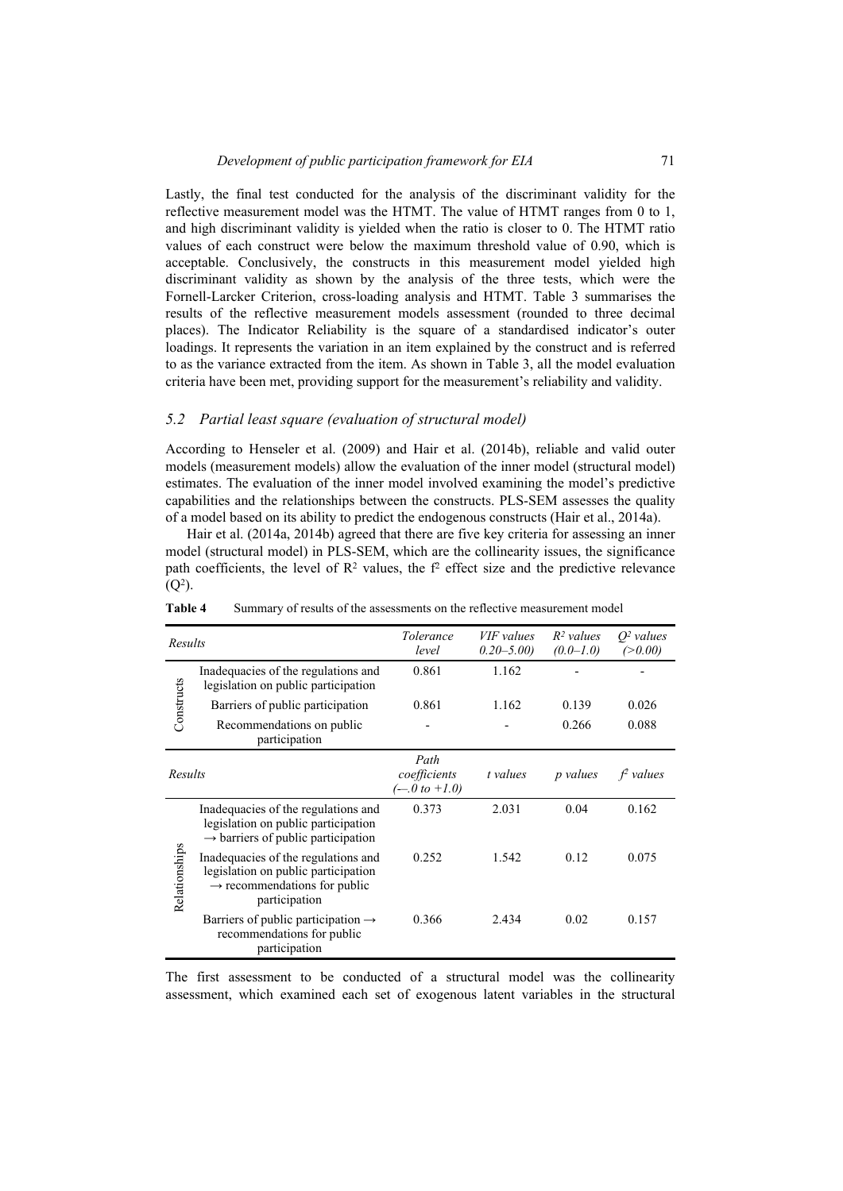Lastly, the final test conducted for the analysis of the discriminant validity for the reflective measurement model was the HTMT. The value of HTMT ranges from 0 to 1, and high discriminant validity is yielded when the ratio is closer to 0. The HTMT ratio values of each construct were below the maximum threshold value of 0.90, which is acceptable. Conclusively, the constructs in this measurement model yielded high discriminant validity as shown by the analysis of the three tests, which were the Fornell-Larcker Criterion, cross-loading analysis and HTMT. Table 3 summarises the results of the reflective measurement models assessment (rounded to three decimal places). The Indicator Reliability is the square of a standardised indicator's outer loadings. It represents the variation in an item explained by the construct and is referred to as the variance extracted from the item. As shown in Table 3, all the model evaluation criteria have been met, providing support for the measurement's reliability and validity.

#### *5.2 Partial least square (evaluation of structural model)*

According to Henseler et al. (2009) and Hair et al. (2014b), reliable and valid outer models (measurement models) allow the evaluation of the inner model (structural model) estimates. The evaluation of the inner model involved examining the model's predictive capabilities and the relationships between the constructs. PLS-SEM assesses the quality of a model based on its ability to predict the endogenous constructs (Hair et al., 2014a).

Hair et al. (2014a, 2014b) agreed that there are five key criteria for assessing an inner model (structural model) in PLS-SEM, which are the collinearity issues, the significance path coefficients, the level of  $\mathbb{R}^2$  values, the  $f^2$  effect size and the predictive relevance  $(O<sup>2</sup>)$ .

| Results       |                                                                                                                                         | <i>Tolerance</i><br>level                 | VIF values<br>$0.20 - 5.00$ | $R^2$ values<br>$(0.0 - 1.0)$ | $O2$ values<br>(>0.00) |
|---------------|-----------------------------------------------------------------------------------------------------------------------------------------|-------------------------------------------|-----------------------------|-------------------------------|------------------------|
|               | Inadequacies of the regulations and<br>legislation on public participation                                                              | 0.861                                     | 1.162                       |                               |                        |
| Constructs    | Barriers of public participation                                                                                                        | 0.861                                     | 1.162                       | 0.139                         | 0.026                  |
|               | Recommendations on public<br>participation                                                                                              |                                           |                             | 0.266                         | 0.088                  |
| Results       |                                                                                                                                         | Path<br>coefficients<br>$(-0.0 t0 + 1.0)$ | t values                    | <i>p</i> values               | $f2$ values            |
|               | Inadequacies of the regulations and<br>legislation on public participation<br>$\rightarrow$ barriers of public participation            | 0.373                                     | 2.031                       | 0.04                          | 0.162                  |
| Relationships | Inadequacies of the regulations and<br>legislation on public participation<br>$\rightarrow$ recommendations for public<br>participation | 0.252                                     | 1.542                       | 0.12                          | 0.075                  |
|               | Barriers of public participation $\rightarrow$<br>recommendations for public<br>participation                                           | 0.366                                     | 2.434                       | 0.02                          | 0.157                  |

**Table 4** Summary of results of the assessments on the reflective measurement model

The first assessment to be conducted of a structural model was the collinearity assessment, which examined each set of exogenous latent variables in the structural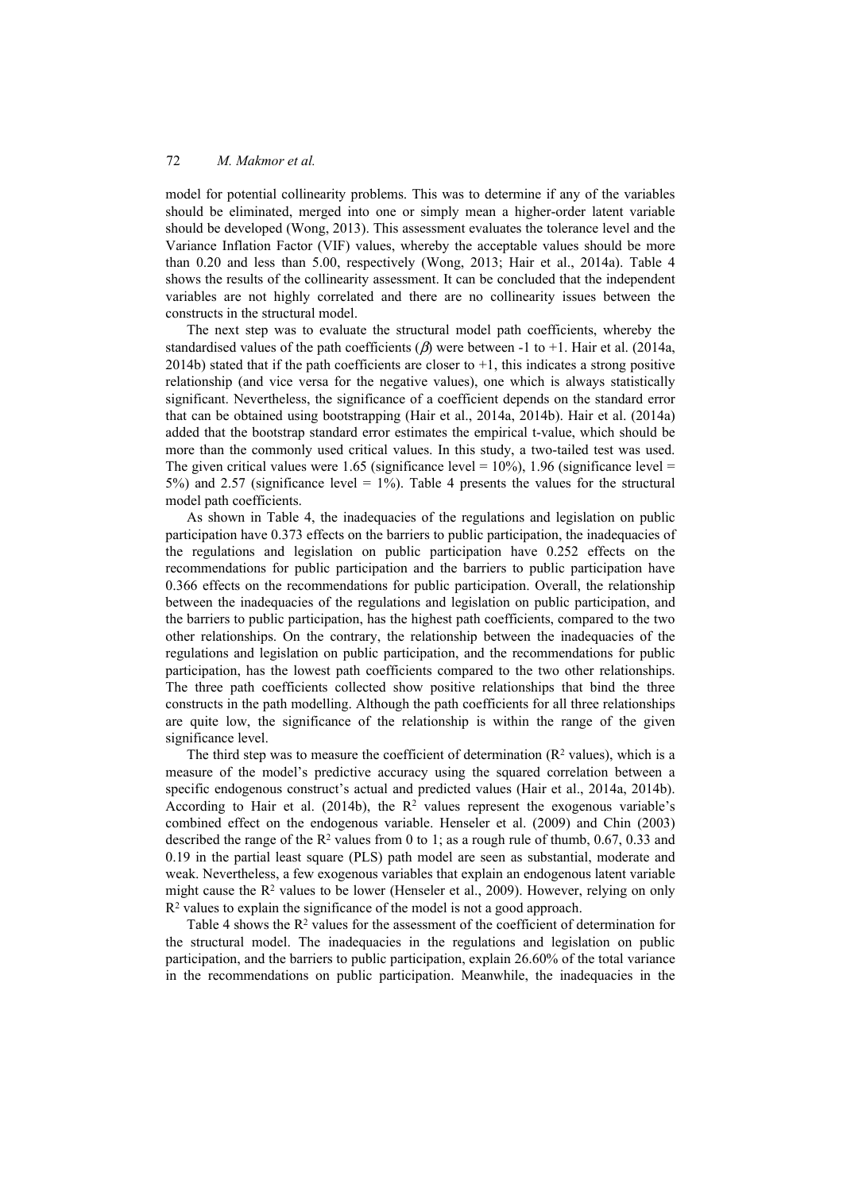model for potential collinearity problems. This was to determine if any of the variables should be eliminated, merged into one or simply mean a higher-order latent variable should be developed (Wong, 2013). This assessment evaluates the tolerance level and the Variance Inflation Factor (VIF) values, whereby the acceptable values should be more than 0.20 and less than 5.00, respectively (Wong, 2013; Hair et al., 2014a). Table 4 shows the results of the collinearity assessment. It can be concluded that the independent variables are not highly correlated and there are no collinearity issues between the constructs in the structural model.

The next step was to evaluate the structural model path coefficients, whereby the standardised values of the path coefficients  $(\beta)$  were between -1 to +1. Hair et al. (2014a, 2014b) stated that if the path coefficients are closer to  $+1$ , this indicates a strong positive relationship (and vice versa for the negative values), one which is always statistically significant. Nevertheless, the significance of a coefficient depends on the standard error that can be obtained using bootstrapping (Hair et al., 2014a, 2014b). Hair et al. (2014a) added that the bootstrap standard error estimates the empirical t-value, which should be more than the commonly used critical values. In this study, a two-tailed test was used. The given critical values were 1.65 (significance level =  $10\%$ ), 1.96 (significance level = 5%) and 2.57 (significance level  $= 1\%$ ). Table 4 presents the values for the structural model path coefficients.

As shown in Table 4, the inadequacies of the regulations and legislation on public participation have 0.373 effects on the barriers to public participation, the inadequacies of the regulations and legislation on public participation have 0.252 effects on the recommendations for public participation and the barriers to public participation have 0.366 effects on the recommendations for public participation. Overall, the relationship between the inadequacies of the regulations and legislation on public participation, and the barriers to public participation, has the highest path coefficients, compared to the two other relationships. On the contrary, the relationship between the inadequacies of the regulations and legislation on public participation, and the recommendations for public participation, has the lowest path coefficients compared to the two other relationships. The three path coefficients collected show positive relationships that bind the three constructs in the path modelling. Although the path coefficients for all three relationships are quite low, the significance of the relationship is within the range of the given significance level.

The third step was to measure the coefficient of determination  $(R^2 \text{ values})$ , which is a measure of the model's predictive accuracy using the squared correlation between a specific endogenous construct's actual and predicted values (Hair et al., 2014a, 2014b). According to Hair et al. (2014b), the  $R<sup>2</sup>$  values represent the exogenous variable's combined effect on the endogenous variable. Henseler et al. (2009) and Chin (2003) described the range of the  $\mathbb{R}^2$  values from 0 to 1; as a rough rule of thumb, 0.67, 0.33 and 0.19 in the partial least square (PLS) path model are seen as substantial, moderate and weak. Nevertheless, a few exogenous variables that explain an endogenous latent variable might cause the  $\mathbb{R}^2$  values to be lower (Henseler et al., 2009). However, relying on only R2 values to explain the significance of the model is not a good approach.

Table 4 shows the  $\mathbb{R}^2$  values for the assessment of the coefficient of determination for the structural model. The inadequacies in the regulations and legislation on public participation, and the barriers to public participation, explain 26.60% of the total variance in the recommendations on public participation. Meanwhile, the inadequacies in the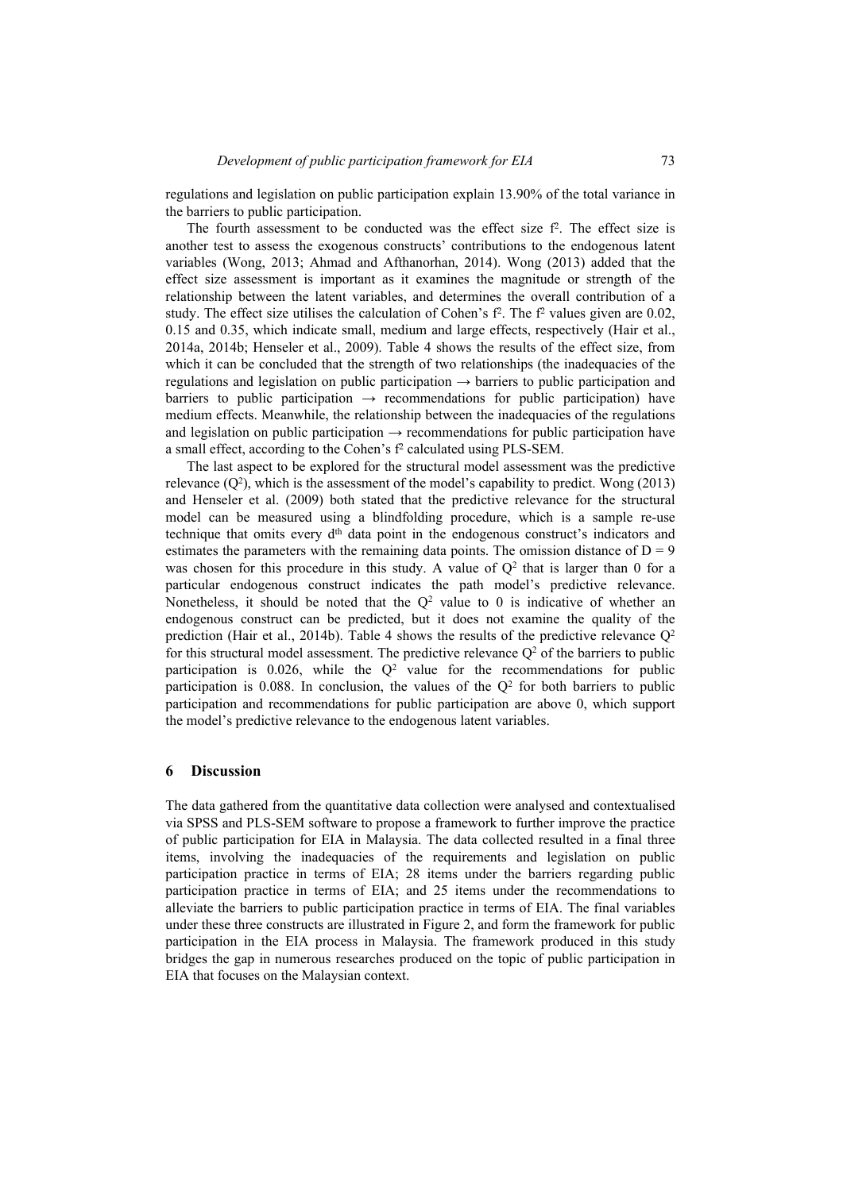regulations and legislation on public participation explain 13.90% of the total variance in the barriers to public participation.

The fourth assessment to be conducted was the effect size  $f<sup>2</sup>$ . The effect size is another test to assess the exogenous constructs' contributions to the endogenous latent variables (Wong, 2013; Ahmad and Afthanorhan, 2014). Wong (2013) added that the effect size assessment is important as it examines the magnitude or strength of the relationship between the latent variables, and determines the overall contribution of a study. The effect size utilises the calculation of Cohen's  $f^2$ . The  $f^2$  values given are 0.02, 0.15 and 0.35, which indicate small, medium and large effects, respectively (Hair et al., 2014a, 2014b; Henseler et al., 2009). Table 4 shows the results of the effect size, from which it can be concluded that the strength of two relationships (the inadequacies of the regulations and legislation on public participation  $\rightarrow$  barriers to public participation and barriers to public participation  $\rightarrow$  recommendations for public participation) have medium effects. Meanwhile, the relationship between the inadequacies of the regulations and legislation on public participation  $\rightarrow$  recommendations for public participation have a small effect, according to the Cohen's f2 calculated using PLS-SEM.

The last aspect to be explored for the structural model assessment was the predictive relevance  $(Q^2)$ , which is the assessment of the model's capability to predict. Wong (2013) and Henseler et al. (2009) both stated that the predictive relevance for the structural model can be measured using a blindfolding procedure, which is a sample re-use technique that omits every  $d<sup>th</sup>$  data point in the endogenous construct's indicators and estimates the parameters with the remaining data points. The omission distance of  $D = 9$ was chosen for this procedure in this study. A value of  $Q<sup>2</sup>$  that is larger than 0 for a particular endogenous construct indicates the path model's predictive relevance. Nonetheless, it should be noted that the  $Q<sup>2</sup>$  value to 0 is indicative of whether an endogenous construct can be predicted, but it does not examine the quality of the prediction (Hair et al., 2014b). Table 4 shows the results of the predictive relevance  $Q^2$ for this structural model assessment. The predictive relevance  $Q<sup>2</sup>$  of the barriers to public participation is  $0.026$ , while the  $Q<sup>2</sup>$  value for the recommendations for public participation is 0.088. In conclusion, the values of the  $Q<sup>2</sup>$  for both barriers to public participation and recommendations for public participation are above 0, which support the model's predictive relevance to the endogenous latent variables.

#### **6 Discussion**

The data gathered from the quantitative data collection were analysed and contextualised via SPSS and PLS-SEM software to propose a framework to further improve the practice of public participation for EIA in Malaysia. The data collected resulted in a final three items, involving the inadequacies of the requirements and legislation on public participation practice in terms of EIA; 28 items under the barriers regarding public participation practice in terms of EIA; and 25 items under the recommendations to alleviate the barriers to public participation practice in terms of EIA. The final variables under these three constructs are illustrated in Figure 2, and form the framework for public participation in the EIA process in Malaysia. The framework produced in this study bridges the gap in numerous researches produced on the topic of public participation in EIA that focuses on the Malaysian context.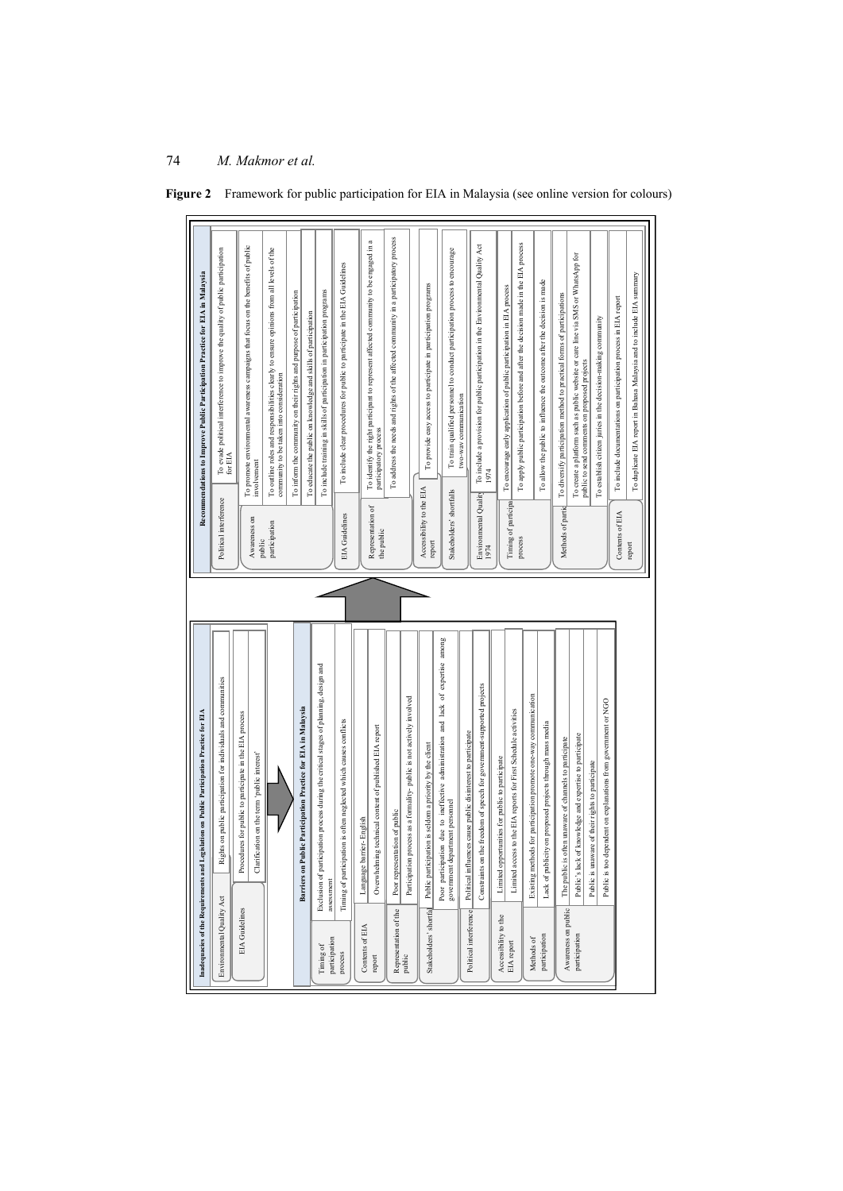|                            | Inadequacies of the Requirements and Legislation on Public Participation Practice for EIA                        |                                    | Recommendations to Improve Public Participation Practice for EIA in Malaysia                                                                                 |
|----------------------------|------------------------------------------------------------------------------------------------------------------|------------------------------------|--------------------------------------------------------------------------------------------------------------------------------------------------------------|
| Environmental Quality Act  | Rights on public participation for individuals and communities                                                   | Political interference             | To evade political interference to improve the quality of public participation for ${\rm EIA}$                                                               |
| EIA Guidelines             | Procedures for public to participate in the EIA process                                                          | Awareness on                       | To promote environmental awareness campaigns that focus on the benefits of public<br>involvement                                                             |
|                            | Clarification on the term 'public interest'                                                                      | participation<br>public            | To outline roles and responsibilities clearly to ensure opinions from all levels of the                                                                      |
|                            |                                                                                                                  |                                    | To inform the community on their rights and purpose of participation<br>community to be taken into consideration                                             |
|                            | ic Participation Practice for EIA in Malaysia<br>Barriers on Publ                                                |                                    | To educate the public on knowledge and skills of participation                                                                                               |
| participation<br>Timing of | Exclusion of participation process during the critical stages of planning, design and<br>assessment              |                                    | To include training in skills of participation in participation programs                                                                                     |
| process                    | Timing of participation is often neglected which causes conflicts                                                | EIA Guidelines                     | To include clear procedures for public to participate in the EIA Guidelines                                                                                  |
| Contents of EIA            | Language barrier-English                                                                                         |                                    | To identify the right participant to represent affected community to be engaged in a                                                                         |
| report                     | Overwhelming technical content of published EIA report                                                           | Representation of<br>the public    | participatory process                                                                                                                                        |
| Representation of the      | Poor representation of public                                                                                    |                                    | To address the needs and rights of the affected community in a participatory process                                                                         |
| public                     | Participation process as a formality-public is not actively involved                                             |                                    |                                                                                                                                                              |
| Stakeholders' shortfal     | Public participation is seldom a priority by the client                                                          | Accessibility to the EIA<br>report | To provide easy access to participate in participation programs                                                                                              |
|                            | Poor participation due to ineffective administration and lack of expertise among government department personnel | Stakeholders' shortfalls           | To train qualified personnel to conduct participation process to encourage                                                                                   |
| Political interference     | Political influences cause public disinterest to participate                                                     |                                    | two-wav communication                                                                                                                                        |
|                            | Constraints on the freedom of speech for government-supported projects                                           | Environmental Quality<br>1974      | To include a provision for public participation in the Environmental Quality Act<br>1974                                                                     |
| Accessibility to the       | Limited opportunities for public to participate                                                                  |                                    |                                                                                                                                                              |
| EIA report                 | to the EIA reports for First Schedule activities<br>Limited access                                               | Timing of participa<br>process     | To apply public participation before and after the decision made in the EIA process<br>To encourage early application of public participation in EIA process |
| Methods of                 | for participation promote one-way communication<br>Existing methods                                              |                                    |                                                                                                                                                              |
| participation              | on proposed projects through mass media<br>ack of publicity                                                      |                                    | To allow the public to influence the outcome after the decision is made                                                                                      |
| Awareness on public        | The public is often unaware of channels to participate                                                           | Methods of partic                  | To diversify participation method to practical forms of participations                                                                                       |
| participation              | knowledge and expertise to participate<br>Public's lack of                                                       |                                    | To create a platform such as public website or care line via SMS or WhatsApp for<br>public to send comments on proposed projects                             |
|                            | Public is unaware of their rights to participate                                                                 |                                    |                                                                                                                                                              |
|                            | Public is too dependent on explanations from government or NGO                                                   |                                    | To establish citizen juries in the decision-making community                                                                                                 |
|                            |                                                                                                                  | Contents of EIA                    | To include documentations on participation process in EIA report                                                                                             |
|                            |                                                                                                                  | report                             | To duplicate EIA report in Bahasa Malaysia and to include EIA summary                                                                                        |
|                            |                                                                                                                  |                                    |                                                                                                                                                              |

**Figure 2** Framework for public participation for EIA in Malaysia (see online version for colours)

*M. Makmo r et al.*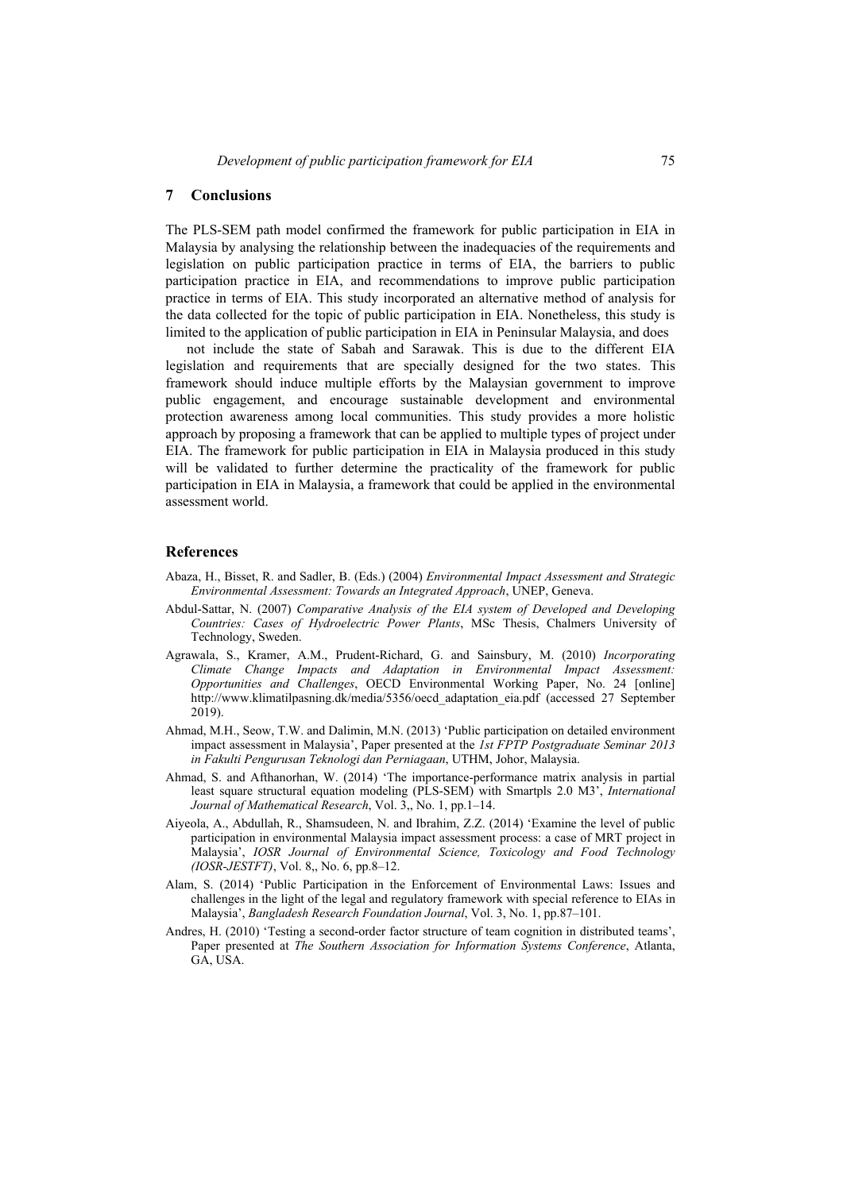### **7 Conclusions**

The PLS-SEM path model confirmed the framework for public participation in EIA in Malaysia by analysing the relationship between the inadequacies of the requirements and legislation on public participation practice in terms of EIA, the barriers to public participation practice in EIA, and recommendations to improve public participation practice in terms of EIA. This study incorporated an alternative method of analysis for the data collected for the topic of public participation in EIA. Nonetheless, this study is limited to the application of public participation in EIA in Peninsular Malaysia, and does

not include the state of Sabah and Sarawak. This is due to the different EIA legislation and requirements that are specially designed for the two states. This framework should induce multiple efforts by the Malaysian government to improve public engagement, and encourage sustainable development and environmental protection awareness among local communities. This study provides a more holistic approach by proposing a framework that can be applied to multiple types of project under EIA. The framework for public participation in EIA in Malaysia produced in this study will be validated to further determine the practicality of the framework for public participation in EIA in Malaysia, a framework that could be applied in the environmental assessment world.

#### **References**

- Abaza, H., Bisset, R. and Sadler, B. (Eds.) (2004) *Environmental Impact Assessment and Strategic Environmental Assessment: Towards an Integrated Approach*, UNEP, Geneva.
- Abdul-Sattar, N. (2007) *Comparative Analysis of the EIA system of Developed and Developing Countries: Cases of Hydroelectric Power Plants*, MSc Thesis, Chalmers University of Technology, Sweden.
- Agrawala, S., Kramer, A.M., Prudent-Richard, G. and Sainsbury, M. (2010) *Incorporating Climate Change Impacts and Adaptation in Environmental Impact Assessment: Opportunities and Challenges*, OECD Environmental Working Paper, No. 24 [online] http://www.klimatilpasning.dk/media/5356/oecd\_adaptation\_eia.pdf (accessed 27 September 2019).
- Ahmad, M.H., Seow, T.W. and Dalimin, M.N. (2013) 'Public participation on detailed environment impact assessment in Malaysia', Paper presented at the *1st FPTP Postgraduate Seminar 2013 in Fakulti Pengurusan Teknologi dan Perniagaan*, UTHM, Johor, Malaysia.
- Ahmad, S. and Afthanorhan, W. (2014) 'The importance-performance matrix analysis in partial least square structural equation modeling (PLS-SEM) with Smartpls 2.0 M3', *International Journal of Mathematical Research*, Vol. 3,, No. 1, pp.1–14.
- Aiyeola, A., Abdullah, R., Shamsudeen, N. and Ibrahim, Z.Z. (2014) 'Examine the level of public participation in environmental Malaysia impact assessment process: a case of MRT project in Malaysia', *IOSR Journal of Environmental Science, Toxicology and Food Technology (IOSR-JESTFT)*, Vol. 8,, No. 6, pp.8–12.
- Alam, S. (2014) 'Public Participation in the Enforcement of Environmental Laws: Issues and challenges in the light of the legal and regulatory framework with special reference to EIAs in Malaysia', *Bangladesh Research Foundation Journal*, Vol. 3, No. 1, pp.87–101.
- Andres, H. (2010) 'Testing a second-order factor structure of team cognition in distributed teams', Paper presented at *The Southern Association for Information Systems Conference*, Atlanta, GA, USA.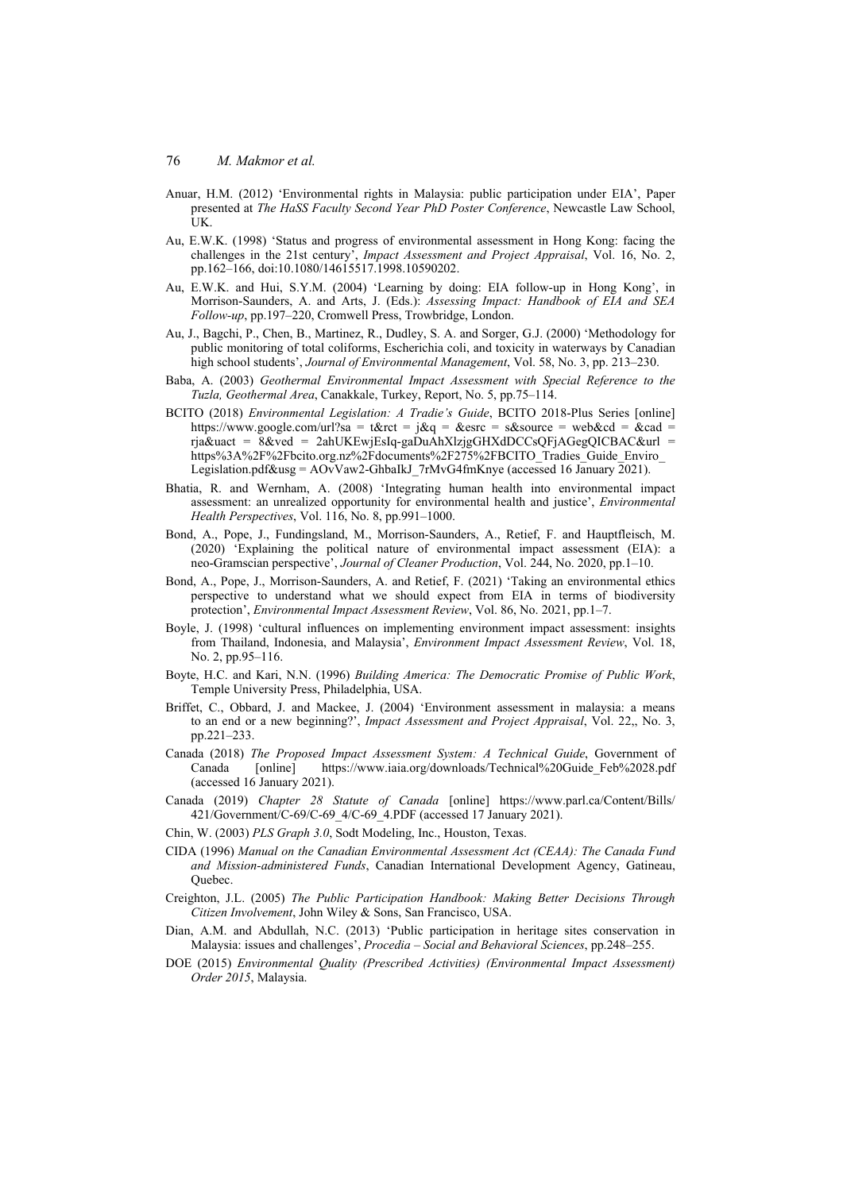- Anuar, H.M. (2012) 'Environmental rights in Malaysia: public participation under EIA', Paper presented at *The HaSS Faculty Second Year PhD Poster Conference*, Newcastle Law School, UK.
- Au, E.W.K. (1998) 'Status and progress of environmental assessment in Hong Kong: facing the challenges in the 21st century', *Impact Assessment and Project Appraisal*, Vol. 16, No. 2, pp.162–166, doi:10.1080/14615517.1998.10590202.
- Au, E.W.K. and Hui, S.Y.M. (2004) 'Learning by doing: EIA follow-up in Hong Kong', in Morrison-Saunders, A. and Arts, J. (Eds.): *Assessing Impact: Handbook of EIA and SEA Follow-up*, pp.197–220, Cromwell Press, Trowbridge, London.
- Au, J., Bagchi, P., Chen, B., Martinez, R., Dudley, S. A. and Sorger, G.J. (2000) 'Methodology for public monitoring of total coliforms, Escherichia coli, and toxicity in waterways by Canadian high school students', *Journal of Environmental Management*, Vol. 58, No. 3, pp. 213–230.
- Baba, A. (2003) *Geothermal Environmental Impact Assessment with Special Reference to the Tuzla, Geothermal Area*, Canakkale, Turkey, Report, No. 5, pp.75–114.
- BCITO (2018) *Environmental Legislation: A Tradie's Guide*, BCITO 2018-Plus Series [online] https://www.google.com/url?sa = t&rct = j&q = &esrc = s&source = web&cd = &cad = rja&uact =  $8$ &ved = 2ahUKEwjEsIq-gaDuAhXlzjgGHXdDCCsOFjAGegOICBAC&url = https%3A%2F%2Fbcito.org.nz%2Fdocuments%2F275%2FBCITO\_Tradies\_Guide\_Enviro Legislation.pdf&usg =  $A\text{OvVaw2-GhbalkJ}$  7rMvG4fmKnye (accessed 16 January 2021).
- Bhatia, R. and Wernham, A. (2008) 'Integrating human health into environmental impact assessment: an unrealized opportunity for environmental health and justice', *Environmental Health Perspectives*, Vol. 116, No. 8, pp.991–1000.
- Bond, A., Pope, J., Fundingsland, M., Morrison-Saunders, A., Retief, F. and Hauptfleisch, M. (2020) 'Explaining the political nature of environmental impact assessment (EIA): a neo-Gramscian perspective', *Journal of Cleaner Production*, Vol. 244, No. 2020, pp.1–10.
- Bond, A., Pope, J., Morrison-Saunders, A. and Retief, F. (2021) 'Taking an environmental ethics perspective to understand what we should expect from EIA in terms of biodiversity protection', *Environmental Impact Assessment Review*, Vol. 86, No. 2021, pp.1–7.
- Boyle, J. (1998) 'cultural influences on implementing environment impact assessment: insights from Thailand, Indonesia, and Malaysia', *Environment Impact Assessment Review*, Vol. 18, No. 2, pp.95–116.
- Boyte, H.C. and Kari, N.N. (1996) *Building America: The Democratic Promise of Public Work*, Temple University Press, Philadelphia, USA.
- Briffet, C., Obbard, J. and Mackee, J. (2004) 'Environment assessment in malaysia: a means to an end or a new beginning?', *Impact Assessment and Project Appraisal*, Vol. 22,, No. 3, pp.221–233.
- Canada (2018) *The Proposed Impact Assessment System: A Technical Guide*, Government of Canada [online] https://www.iaia.org/downloads/Technical%20Guide\_Feb%2028.pdf (accessed 16 January 2021).
- Canada (2019) *Chapter 28 Statute of Canada* [online] https://www.parl.ca/Content/Bills/ 421/Government/C-69/C-69\_4/C-69\_4.PDF (accessed 17 January 2021).
- Chin, W. (2003) *PLS Graph 3.0*, Sodt Modeling, Inc., Houston, Texas.
- CIDA (1996) *Manual on the Canadian Environmental Assessment Act (CEAA): The Canada Fund and Mission-administered Funds*, Canadian International Development Agency, Gatineau, Quebec.
- Creighton, J.L. (2005) *The Public Participation Handbook: Making Better Decisions Through Citizen Involvement*, John Wiley & Sons, San Francisco, USA.
- Dian, A.M. and Abdullah, N.C. (2013) 'Public participation in heritage sites conservation in Malaysia: issues and challenges', *Procedia – Social and Behavioral Sciences*, pp.248–255.
- DOE (2015) *Environmental Quality (Prescribed Activities) (Environmental Impact Assessment) Order 2015*, Malaysia.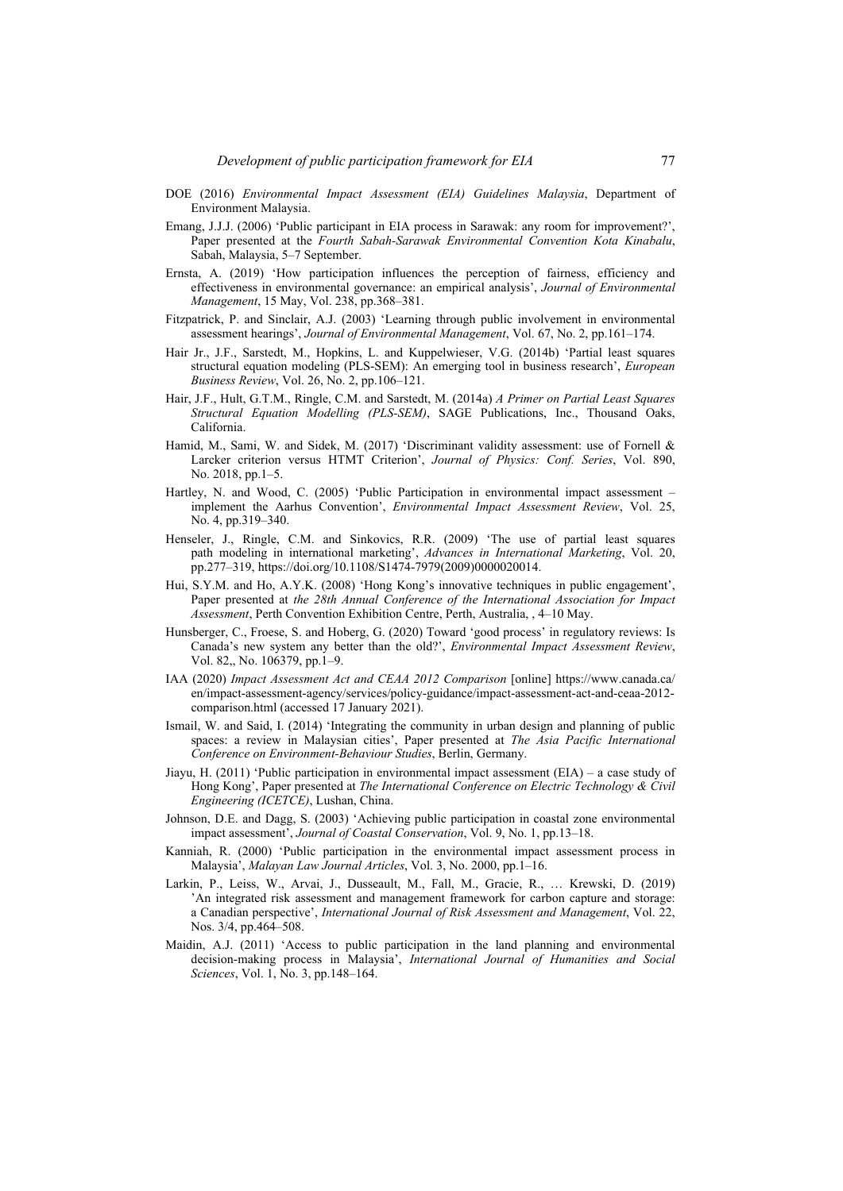- DOE (2016) *Environmental Impact Assessment (EIA) Guidelines Malaysia*, Department of Environment Malaysia.
- Emang, J.J.J. (2006) 'Public participant in EIA process in Sarawak: any room for improvement?', Paper presented at the *Fourth Sabah-Sarawak Environmental Convention Kota Kinabalu*, Sabah, Malaysia, 5–7 September.
- Ernsta, A. (2019) 'How participation influences the perception of fairness, efficiency and effectiveness in environmental governance: an empirical analysis', *Journal of Environmental Management*, 15 May, Vol. 238, pp.368–381.
- Fitzpatrick, P. and Sinclair, A.J. (2003) 'Learning through public involvement in environmental assessment hearings', *Journal of Environmental Management*, Vol. 67, No. 2, pp.161–174.
- Hair Jr., J.F., Sarstedt, M., Hopkins, L. and Kuppelwieser, V.G. (2014b) 'Partial least squares structural equation modeling (PLS-SEM): An emerging tool in business research', *European Business Review*, Vol. 26, No. 2, pp.106–121.
- Hair, J.F., Hult, G.T.M., Ringle, C.M. and Sarstedt, M. (2014a) *A Primer on Partial Least Squares Structural Equation Modelling (PLS-SEM)*, SAGE Publications, Inc., Thousand Oaks, California.
- Hamid, M., Sami, W. and Sidek, M. (2017) 'Discriminant validity assessment: use of Fornell & Larcker criterion versus HTMT Criterion', *Journal of Physics: Conf. Series*, Vol. 890, No. 2018, pp.1–5.
- Hartley, N. and Wood, C. (2005) 'Public Participation in environmental impact assessment implement the Aarhus Convention', *Environmental Impact Assessment Review*, Vol. 25, No. 4, pp.319–340.
- Henseler, J., Ringle, C.M. and Sinkovics, R.R. (2009) 'The use of partial least squares path modeling in international marketing', *Advances in International Marketing*, Vol. 20, pp.277–319, https://doi.org/10.1108/S1474-7979(2009)0000020014.
- Hui, S.Y.M. and Ho, A.Y.K. (2008) 'Hong Kong's innovative techniques in public engagement', Paper presented at *the 28th Annual Conference of the International Association for Impact Assessment*, Perth Convention Exhibition Centre, Perth, Australia, , 4–10 May.
- Hunsberger, C., Froese, S. and Hoberg, G. (2020) Toward 'good process' in regulatory reviews: Is Canada's new system any better than the old?', *Environmental Impact Assessment Review*, Vol. 82,, No. 106379, pp.1–9.
- IAA (2020) *Impact Assessment Act and CEAA 2012 Comparison* [online] https://www.canada.ca/ en/impact-assessment-agency/services/policy-guidance/impact-assessment-act-and-ceaa-2012 comparison.html (accessed 17 January 2021).
- Ismail, W. and Said, I. (2014) 'Integrating the community in urban design and planning of public spaces: a review in Malaysian cities', Paper presented at *The Asia Pacific International Conference on Environment-Behaviour Studies*, Berlin, Germany.
- Jiayu, H. (2011) 'Public participation in environmental impact assessment (EIA) a case study of Hong Kong', Paper presented at *The International Conference on Electric Technology & Civil Engineering (ICETCE)*, Lushan, China.
- Johnson, D.E. and Dagg, S. (2003) 'Achieving public participation in coastal zone environmental impact assessment', *Journal of Coastal Conservation*, Vol. 9, No. 1, pp.13–18.
- Kanniah, R. (2000) 'Public participation in the environmental impact assessment process in Malaysia', *Malayan Law Journal Articles*, Vol. 3, No. 2000, pp.1–16.
- Larkin, P., Leiss, W., Arvai, J., Dusseault, M., Fall, M., Gracie, R., … Krewski, D. (2019) 'An integrated risk assessment and management framework for carbon capture and storage: a Canadian perspective', *International Journal of Risk Assessment and Management*, Vol. 22, Nos. 3/4, pp.464–508.
- Maidin, A.J. (2011) 'Access to public participation in the land planning and environmental decision-making process in Malaysia', *International Journal of Humanities and Social Sciences*, Vol. 1, No. 3, pp.148–164.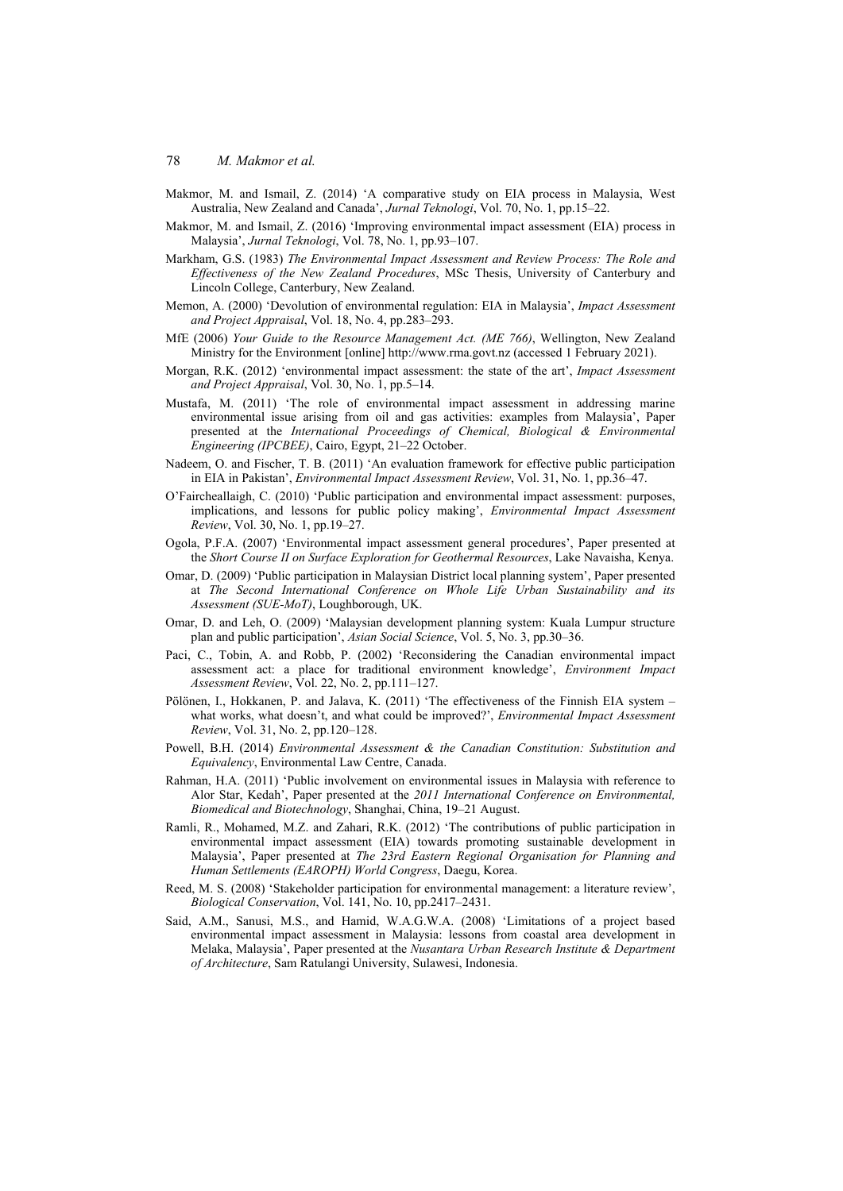- Makmor, M. and Ismail, Z. (2014) 'A comparative study on EIA process in Malaysia, West Australia, New Zealand and Canada', *Jurnal Teknologi*, Vol. 70, No. 1, pp.15–22.
- Makmor, M. and Ismail, Z. (2016) 'Improving environmental impact assessment (EIA) process in Malaysia', *Jurnal Teknologi*, Vol. 78, No. 1, pp.93–107.
- Markham, G.S. (1983) *The Environmental Impact Assessment and Review Process: The Role and Effectiveness of the New Zealand Procedures*, MSc Thesis, University of Canterbury and Lincoln College, Canterbury, New Zealand.
- Memon, A. (2000) 'Devolution of environmental regulation: EIA in Malaysia', *Impact Assessment and Project Appraisal*, Vol. 18, No. 4, pp.283–293.
- MfE (2006) *Your Guide to the Resource Management Act. (ME 766)*, Wellington, New Zealand Ministry for the Environment [online] http://www.rma.govt.nz (accessed 1 February 2021).
- Morgan, R.K. (2012) 'environmental impact assessment: the state of the art', *Impact Assessment and Project Appraisal*, Vol. 30, No. 1, pp.5–14.
- Mustafa, M. (2011) 'The role of environmental impact assessment in addressing marine environmental issue arising from oil and gas activities: examples from Malaysia', Paper presented at the *International Proceedings of Chemical, Biological & Environmental Engineering (IPCBEE)*, Cairo, Egypt, 21–22 October.
- Nadeem, O. and Fischer, T. B. (2011) 'An evaluation framework for effective public participation in EIA in Pakistan', *Environmental Impact Assessment Review*, Vol. 31, No. 1, pp.36–47.
- O'Faircheallaigh, C. (2010) 'Public participation and environmental impact assessment: purposes, implications, and lessons for public policy making', *Environmental Impact Assessment Review*, Vol. 30, No. 1, pp.19–27.
- Ogola, P.F.A. (2007) 'Environmental impact assessment general procedures', Paper presented at the *Short Course II on Surface Exploration for Geothermal Resources*, Lake Navaisha, Kenya.
- Omar, D. (2009) 'Public participation in Malaysian District local planning system', Paper presented at *The Second International Conference on Whole Life Urban Sustainability and its Assessment (SUE-MoT)*, Loughborough, UK.
- Omar, D. and Leh, O. (2009) 'Malaysian development planning system: Kuala Lumpur structure plan and public participation', *Asian Social Science*, Vol. 5, No. 3, pp.30–36.
- Paci, C., Tobin, A. and Robb, P. (2002) 'Reconsidering the Canadian environmental impact assessment act: a place for traditional environment knowledge', *Environment Impact Assessment Review*, Vol. 22, No. 2, pp.111–127.
- Pölönen, I., Hokkanen, P. and Jalava, K. (2011) 'The effectiveness of the Finnish EIA system what works, what doesn't, and what could be improved?', *Environmental Impact Assessment Review*, Vol. 31, No. 2, pp.120–128.
- Powell, B.H. (2014) *Environmental Assessment & the Canadian Constitution: Substitution and Equivalency*, Environmental Law Centre, Canada.
- Rahman, H.A. (2011) 'Public involvement on environmental issues in Malaysia with reference to Alor Star, Kedah', Paper presented at the *2011 International Conference on Environmental, Biomedical and Biotechnology*, Shanghai, China, 19–21 August.
- Ramli, R., Mohamed, M.Z. and Zahari, R.K. (2012) 'The contributions of public participation in environmental impact assessment (EIA) towards promoting sustainable development in Malaysia', Paper presented at *The 23rd Eastern Regional Organisation for Planning and Human Settlements (EAROPH) World Congress*, Daegu, Korea.
- Reed, M. S. (2008) 'Stakeholder participation for environmental management: a literature review', *Biological Conservation*, Vol. 141, No. 10, pp.2417–2431.
- Said, A.M., Sanusi, M.S., and Hamid, W.A.G.W.A. (2008) 'Limitations of a project based environmental impact assessment in Malaysia: lessons from coastal area development in Melaka, Malaysia', Paper presented at the *Nusantara Urban Research Institute & Department of Architecture*, Sam Ratulangi University, Sulawesi, Indonesia.